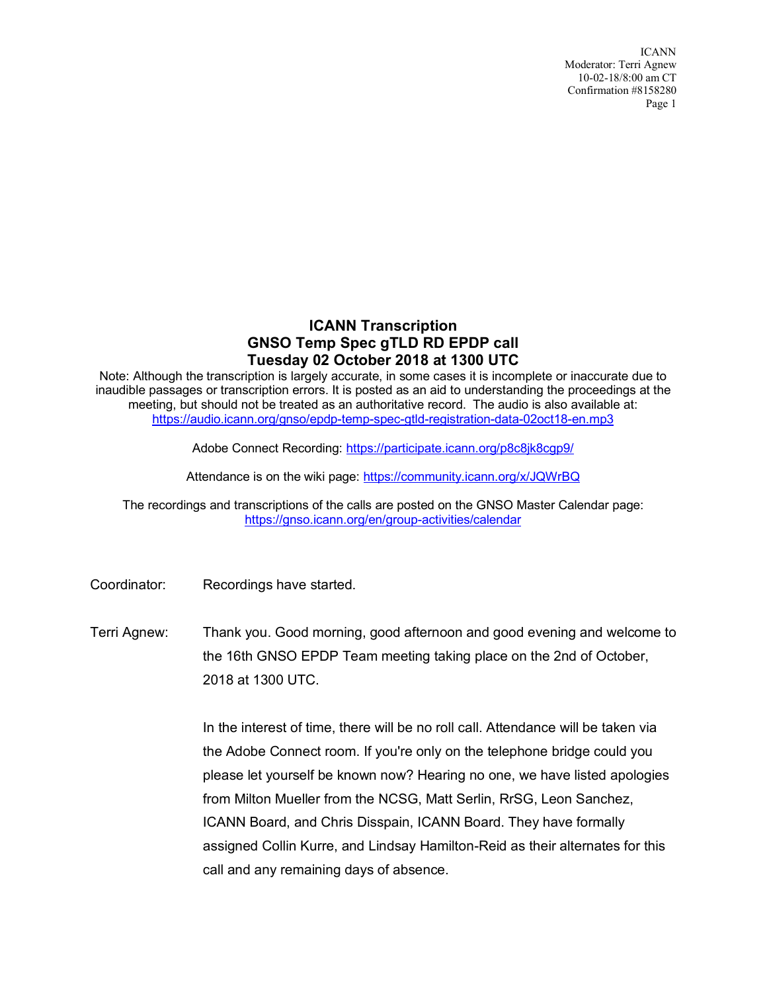ICANN Moderator: Terri Agnew 10-02-18/8:00 am CT Confirmation #8158280 Page 1

## **ICANN Transcription GNSO Temp Spec gTLD RD EPDP call Tuesday 02 October 2018 at 1300 UTC**

Note: Although the transcription is largely accurate, in some cases it is incomplete or inaccurate due to inaudible passages or transcription errors. It is posted as an aid to understanding the proceedings at the meeting, but should not be treated as an authoritative record. The audio is also available at: https://audio.icann.org/gnso/epdp-temp-spec-gtld-registration-data-02oct18-en.mp3

Adobe Connect Recording: https://participate.icann.org/p8c8jk8cgp9/

Attendance is on the wiki page: https://community.icann.org/x/JQWrBQ

The recordings and transcriptions of the calls are posted on the GNSO Master Calendar page: https://gnso.icann.org/en/group-activities/calendar

Coordinator: Recordings have started.

Terri Agnew: Thank you. Good morning, good afternoon and good evening and welcome to the 16th GNSO EPDP Team meeting taking place on the 2nd of October, 2018 at 1300 UTC.

> In the interest of time, there will be no roll call. Attendance will be taken via the Adobe Connect room. If you're only on the telephone bridge could you please let yourself be known now? Hearing no one, we have listed apologies from Milton Mueller from the NCSG, Matt Serlin, RrSG, Leon Sanchez, ICANN Board, and Chris Disspain, ICANN Board. They have formally assigned Collin Kurre, and Lindsay Hamilton-Reid as their alternates for this call and any remaining days of absence.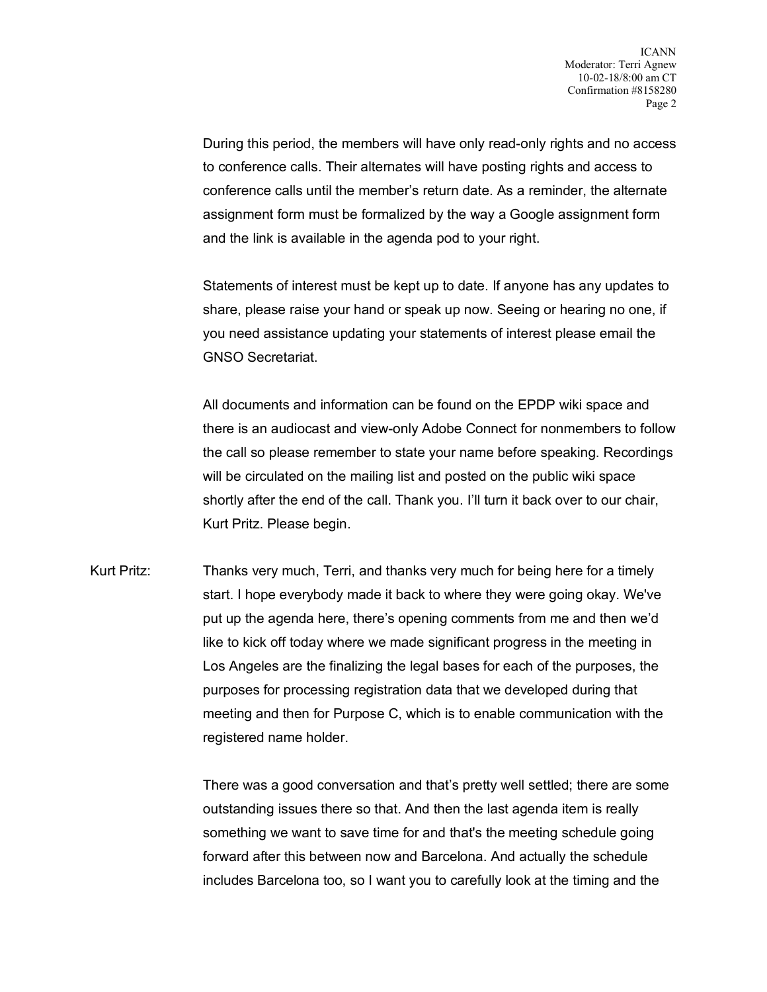During this period, the members will have only read-only rights and no access to conference calls. Their alternates will have posting rights and access to conference calls until the member's return date. As a reminder, the alternate assignment form must be formalized by the way a Google assignment form and the link is available in the agenda pod to your right.

Statements of interest must be kept up to date. If anyone has any updates to share, please raise your hand or speak up now. Seeing or hearing no one, if you need assistance updating your statements of interest please email the GNSO Secretariat.

All documents and information can be found on the EPDP wiki space and there is an audiocast and view-only Adobe Connect for nonmembers to follow the call so please remember to state your name before speaking. Recordings will be circulated on the mailing list and posted on the public wiki space shortly after the end of the call. Thank you. I'll turn it back over to our chair, Kurt Pritz. Please begin.

Kurt Pritz: Thanks very much, Terri, and thanks very much for being here for a timely start. I hope everybody made it back to where they were going okay. We've put up the agenda here, there's opening comments from me and then we'd like to kick off today where we made significant progress in the meeting in Los Angeles are the finalizing the legal bases for each of the purposes, the purposes for processing registration data that we developed during that meeting and then for Purpose C, which is to enable communication with the registered name holder.

> There was a good conversation and that's pretty well settled; there are some outstanding issues there so that. And then the last agenda item is really something we want to save time for and that's the meeting schedule going forward after this between now and Barcelona. And actually the schedule includes Barcelona too, so I want you to carefully look at the timing and the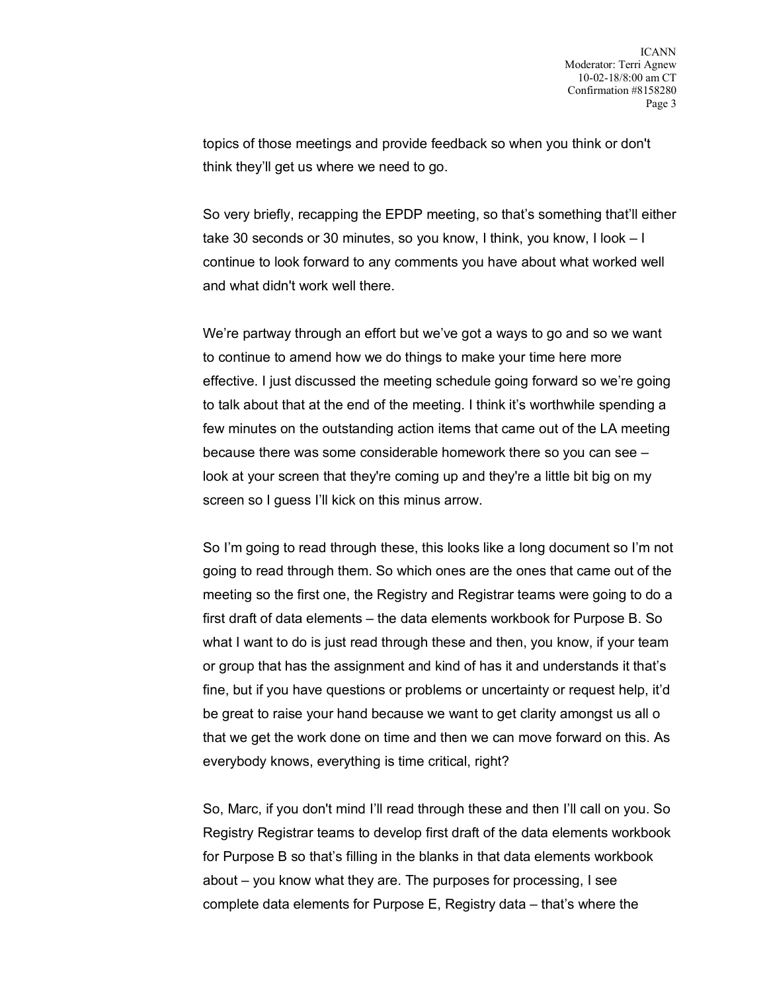topics of those meetings and provide feedback so when you think or don't think they'll get us where we need to go.

So very briefly, recapping the EPDP meeting, so that's something that'll either take 30 seconds or 30 minutes, so you know, I think, you know, I look – I continue to look forward to any comments you have about what worked well and what didn't work well there.

We're partway through an effort but we've got a ways to go and so we want to continue to amend how we do things to make your time here more effective. I just discussed the meeting schedule going forward so we're going to talk about that at the end of the meeting. I think it's worthwhile spending a few minutes on the outstanding action items that came out of the LA meeting because there was some considerable homework there so you can see – look at your screen that they're coming up and they're a little bit big on my screen so I guess I'll kick on this minus arrow.

So I'm going to read through these, this looks like a long document so I'm not going to read through them. So which ones are the ones that came out of the meeting so the first one, the Registry and Registrar teams were going to do a first draft of data elements – the data elements workbook for Purpose B. So what I want to do is just read through these and then, you know, if your team or group that has the assignment and kind of has it and understands it that's fine, but if you have questions or problems or uncertainty or request help, it'd be great to raise your hand because we want to get clarity amongst us all o that we get the work done on time and then we can move forward on this. As everybody knows, everything is time critical, right?

So, Marc, if you don't mind I'll read through these and then I'll call on you. So Registry Registrar teams to develop first draft of the data elements workbook for Purpose B so that's filling in the blanks in that data elements workbook about – you know what they are. The purposes for processing, I see complete data elements for Purpose E, Registry data – that's where the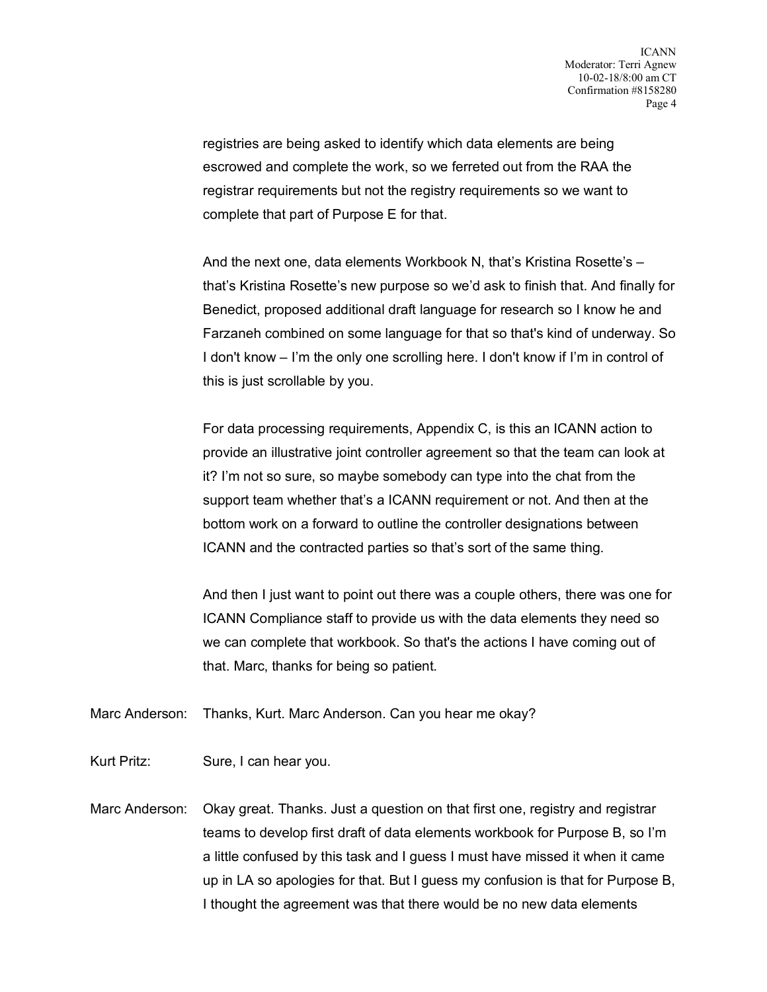registries are being asked to identify which data elements are being escrowed and complete the work, so we ferreted out from the RAA the registrar requirements but not the registry requirements so we want to complete that part of Purpose E for that.

And the next one, data elements Workbook N, that's Kristina Rosette's – that's Kristina Rosette's new purpose so we'd ask to finish that. And finally for Benedict, proposed additional draft language for research so I know he and Farzaneh combined on some language for that so that's kind of underway. So I don't know – I'm the only one scrolling here. I don't know if I'm in control of this is just scrollable by you.

For data processing requirements, Appendix C, is this an ICANN action to provide an illustrative joint controller agreement so that the team can look at it? I'm not so sure, so maybe somebody can type into the chat from the support team whether that's a ICANN requirement or not. And then at the bottom work on a forward to outline the controller designations between ICANN and the contracted parties so that's sort of the same thing.

And then I just want to point out there was a couple others, there was one for ICANN Compliance staff to provide us with the data elements they need so we can complete that workbook. So that's the actions I have coming out of that. Marc, thanks for being so patient.

Marc Anderson: Thanks, Kurt. Marc Anderson. Can you hear me okay?

Kurt Pritz: Sure, I can hear you.

Marc Anderson: Okay great. Thanks. Just a question on that first one, registry and registrar teams to develop first draft of data elements workbook for Purpose B, so I'm a little confused by this task and I guess I must have missed it when it came up in LA so apologies for that. But I guess my confusion is that for Purpose B, I thought the agreement was that there would be no new data elements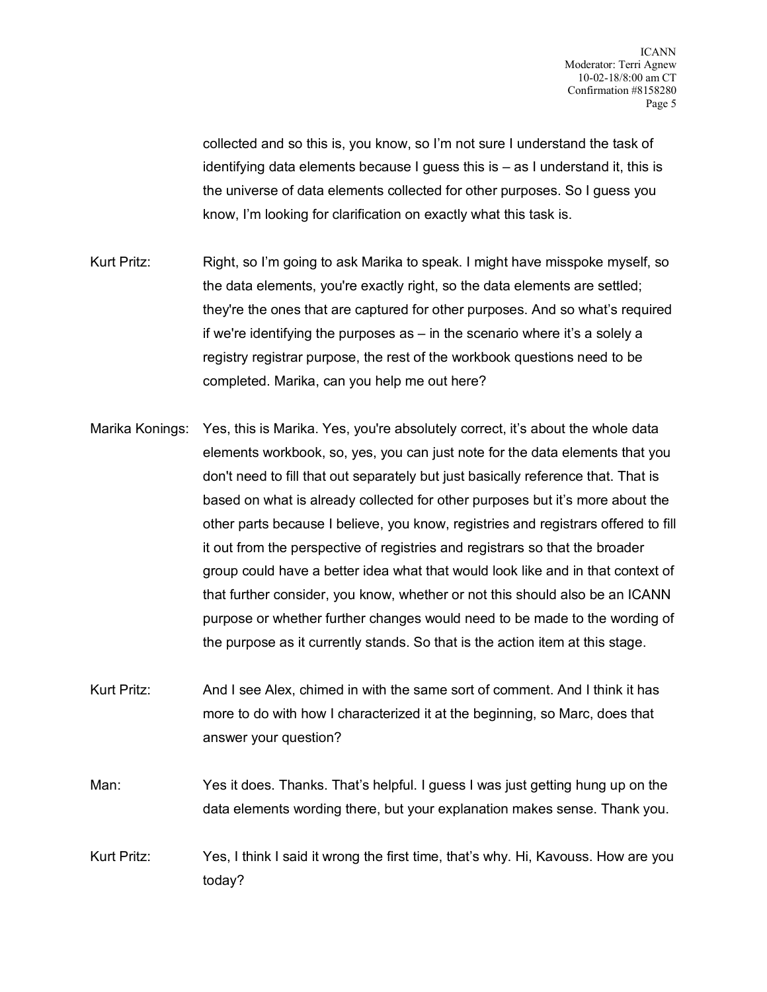collected and so this is, you know, so I'm not sure I understand the task of identifying data elements because I guess this is – as I understand it, this is the universe of data elements collected for other purposes. So I guess you know, I'm looking for clarification on exactly what this task is.

- Kurt Pritz: Right, so I'm going to ask Marika to speak. I might have misspoke myself, so the data elements, you're exactly right, so the data elements are settled; they're the ones that are captured for other purposes. And so what's required if we're identifying the purposes as – in the scenario where it's a solely a registry registrar purpose, the rest of the workbook questions need to be completed. Marika, can you help me out here?
- Marika Konings: Yes, this is Marika. Yes, you're absolutely correct, it's about the whole data elements workbook, so, yes, you can just note for the data elements that you don't need to fill that out separately but just basically reference that. That is based on what is already collected for other purposes but it's more about the other parts because I believe, you know, registries and registrars offered to fill it out from the perspective of registries and registrars so that the broader group could have a better idea what that would look like and in that context of that further consider, you know, whether or not this should also be an ICANN purpose or whether further changes would need to be made to the wording of the purpose as it currently stands. So that is the action item at this stage.
- Kurt Pritz: And I see Alex, chimed in with the same sort of comment. And I think it has more to do with how I characterized it at the beginning, so Marc, does that answer your question?
- Man: Yes it does. Thanks. That's helpful. I guess I was just getting hung up on the data elements wording there, but your explanation makes sense. Thank you.
- Kurt Pritz: Yes, I think I said it wrong the first time, that's why. Hi, Kavouss. How are you today?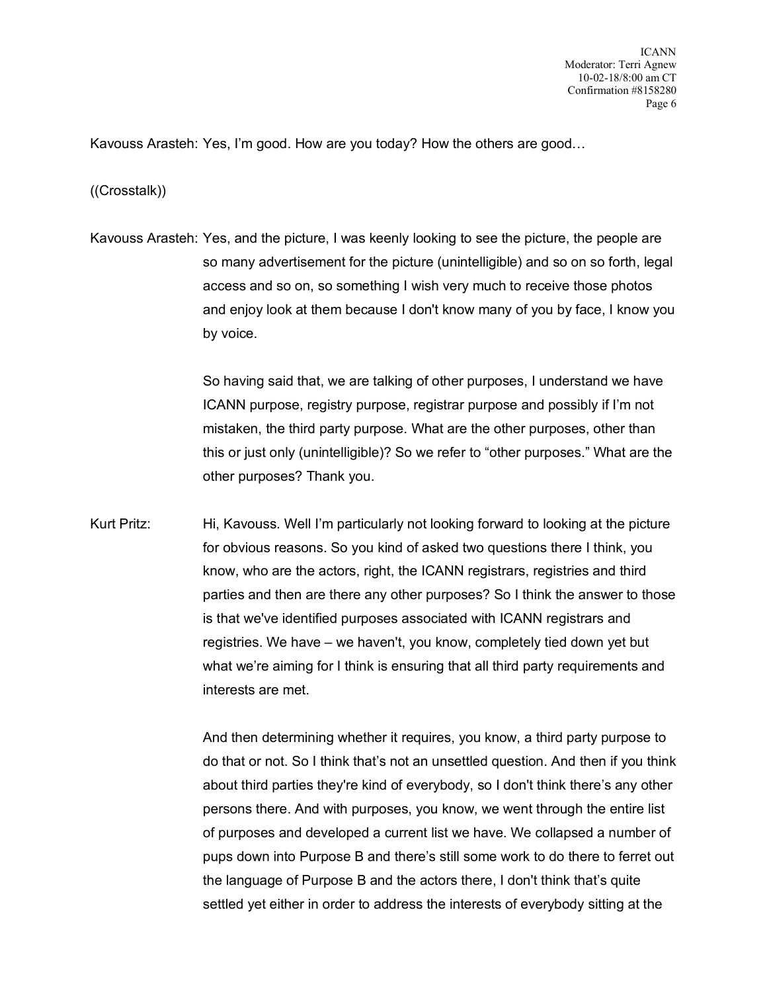Kavouss Arasteh: Yes, I'm good. How are you today? How the others are good…

((Crosstalk))

Kavouss Arasteh: Yes, and the picture, I was keenly looking to see the picture, the people are so many advertisement for the picture (unintelligible) and so on so forth, legal access and so on, so something I wish very much to receive those photos and enjoy look at them because I don't know many of you by face, I know you by voice.

> So having said that, we are talking of other purposes, I understand we have ICANN purpose, registry purpose, registrar purpose and possibly if I'm not mistaken, the third party purpose. What are the other purposes, other than this or just only (unintelligible)? So we refer to "other purposes." What are the other purposes? Thank you.

Kurt Pritz: Hi, Kavouss. Well I'm particularly not looking forward to looking at the picture for obvious reasons. So you kind of asked two questions there I think, you know, who are the actors, right, the ICANN registrars, registries and third parties and then are there any other purposes? So I think the answer to those is that we've identified purposes associated with ICANN registrars and registries. We have – we haven't, you know, completely tied down yet but what we're aiming for I think is ensuring that all third party requirements and interests are met.

> And then determining whether it requires, you know, a third party purpose to do that or not. So I think that's not an unsettled question. And then if you think about third parties they're kind of everybody, so I don't think there's any other persons there. And with purposes, you know, we went through the entire list of purposes and developed a current list we have. We collapsed a number of pups down into Purpose B and there's still some work to do there to ferret out the language of Purpose B and the actors there, I don't think that's quite settled yet either in order to address the interests of everybody sitting at the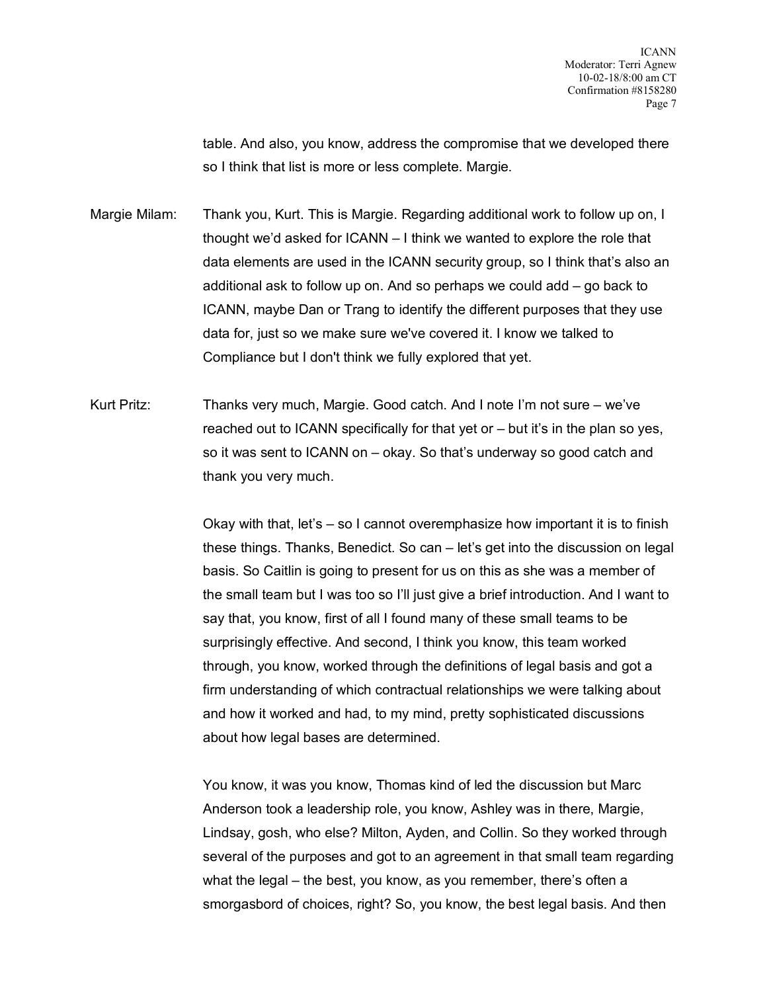table. And also, you know, address the compromise that we developed there so I think that list is more or less complete. Margie.

Margie Milam: Thank you, Kurt. This is Margie. Regarding additional work to follow up on, I thought we'd asked for ICANN – I think we wanted to explore the role that data elements are used in the ICANN security group, so I think that's also an additional ask to follow up on. And so perhaps we could add – go back to ICANN, maybe Dan or Trang to identify the different purposes that they use data for, just so we make sure we've covered it. I know we talked to Compliance but I don't think we fully explored that yet.

Kurt Pritz: Thanks very much, Margie. Good catch. And I note I'm not sure – we've reached out to ICANN specifically for that yet or – but it's in the plan so yes, so it was sent to ICANN on – okay. So that's underway so good catch and thank you very much.

> Okay with that, let's – so I cannot overemphasize how important it is to finish these things. Thanks, Benedict. So can – let's get into the discussion on legal basis. So Caitlin is going to present for us on this as she was a member of the small team but I was too so I'll just give a brief introduction. And I want to say that, you know, first of all I found many of these small teams to be surprisingly effective. And second, I think you know, this team worked through, you know, worked through the definitions of legal basis and got a firm understanding of which contractual relationships we were talking about and how it worked and had, to my mind, pretty sophisticated discussions about how legal bases are determined.

> You know, it was you know, Thomas kind of led the discussion but Marc Anderson took a leadership role, you know, Ashley was in there, Margie, Lindsay, gosh, who else? Milton, Ayden, and Collin. So they worked through several of the purposes and got to an agreement in that small team regarding what the legal – the best, you know, as you remember, there's often a smorgasbord of choices, right? So, you know, the best legal basis. And then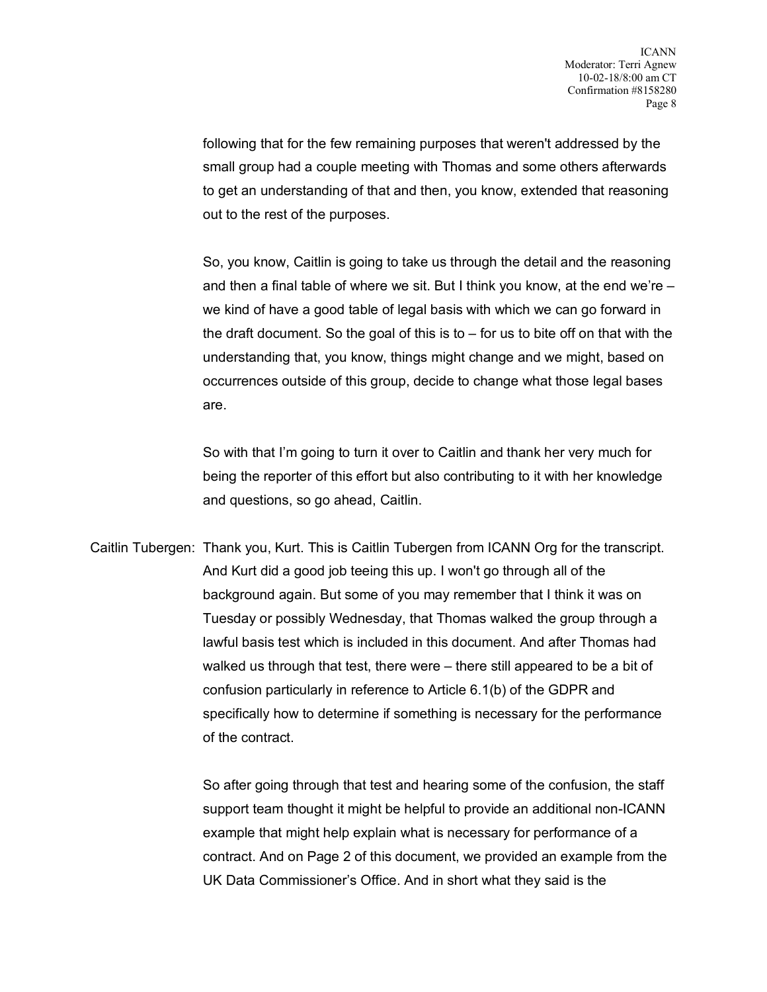following that for the few remaining purposes that weren't addressed by the small group had a couple meeting with Thomas and some others afterwards to get an understanding of that and then, you know, extended that reasoning out to the rest of the purposes.

So, you know, Caitlin is going to take us through the detail and the reasoning and then a final table of where we sit. But I think you know, at the end we're – we kind of have a good table of legal basis with which we can go forward in the draft document. So the goal of this is to  $-$  for us to bite off on that with the understanding that, you know, things might change and we might, based on occurrences outside of this group, decide to change what those legal bases are.

So with that I'm going to turn it over to Caitlin and thank her very much for being the reporter of this effort but also contributing to it with her knowledge and questions, so go ahead, Caitlin.

Caitlin Tubergen: Thank you, Kurt. This is Caitlin Tubergen from ICANN Org for the transcript. And Kurt did a good job teeing this up. I won't go through all of the background again. But some of you may remember that I think it was on Tuesday or possibly Wednesday, that Thomas walked the group through a lawful basis test which is included in this document. And after Thomas had walked us through that test, there were – there still appeared to be a bit of confusion particularly in reference to Article 6.1(b) of the GDPR and specifically how to determine if something is necessary for the performance of the contract.

> So after going through that test and hearing some of the confusion, the staff support team thought it might be helpful to provide an additional non-ICANN example that might help explain what is necessary for performance of a contract. And on Page 2 of this document, we provided an example from the UK Data Commissioner's Office. And in short what they said is the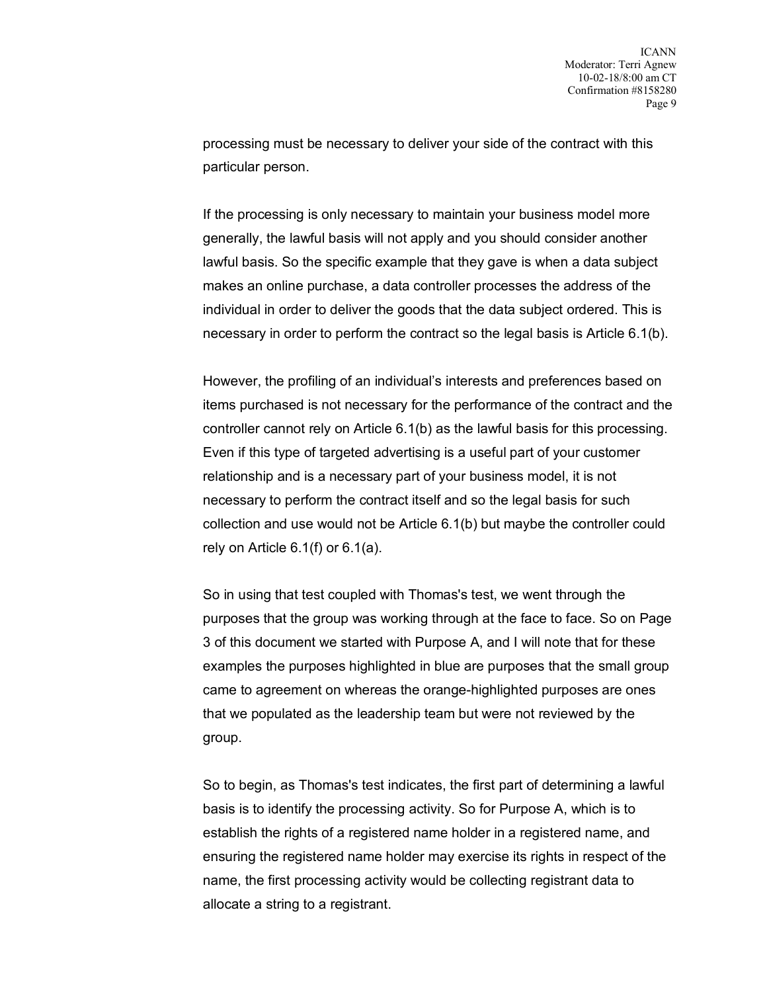processing must be necessary to deliver your side of the contract with this particular person.

If the processing is only necessary to maintain your business model more generally, the lawful basis will not apply and you should consider another lawful basis. So the specific example that they gave is when a data subject makes an online purchase, a data controller processes the address of the individual in order to deliver the goods that the data subject ordered. This is necessary in order to perform the contract so the legal basis is Article 6.1(b).

However, the profiling of an individual's interests and preferences based on items purchased is not necessary for the performance of the contract and the controller cannot rely on Article 6.1(b) as the lawful basis for this processing. Even if this type of targeted advertising is a useful part of your customer relationship and is a necessary part of your business model, it is not necessary to perform the contract itself and so the legal basis for such collection and use would not be Article 6.1(b) but maybe the controller could rely on Article 6.1(f) or 6.1(a).

So in using that test coupled with Thomas's test, we went through the purposes that the group was working through at the face to face. So on Page 3 of this document we started with Purpose A, and I will note that for these examples the purposes highlighted in blue are purposes that the small group came to agreement on whereas the orange-highlighted purposes are ones that we populated as the leadership team but were not reviewed by the group.

So to begin, as Thomas's test indicates, the first part of determining a lawful basis is to identify the processing activity. So for Purpose A, which is to establish the rights of a registered name holder in a registered name, and ensuring the registered name holder may exercise its rights in respect of the name, the first processing activity would be collecting registrant data to allocate a string to a registrant.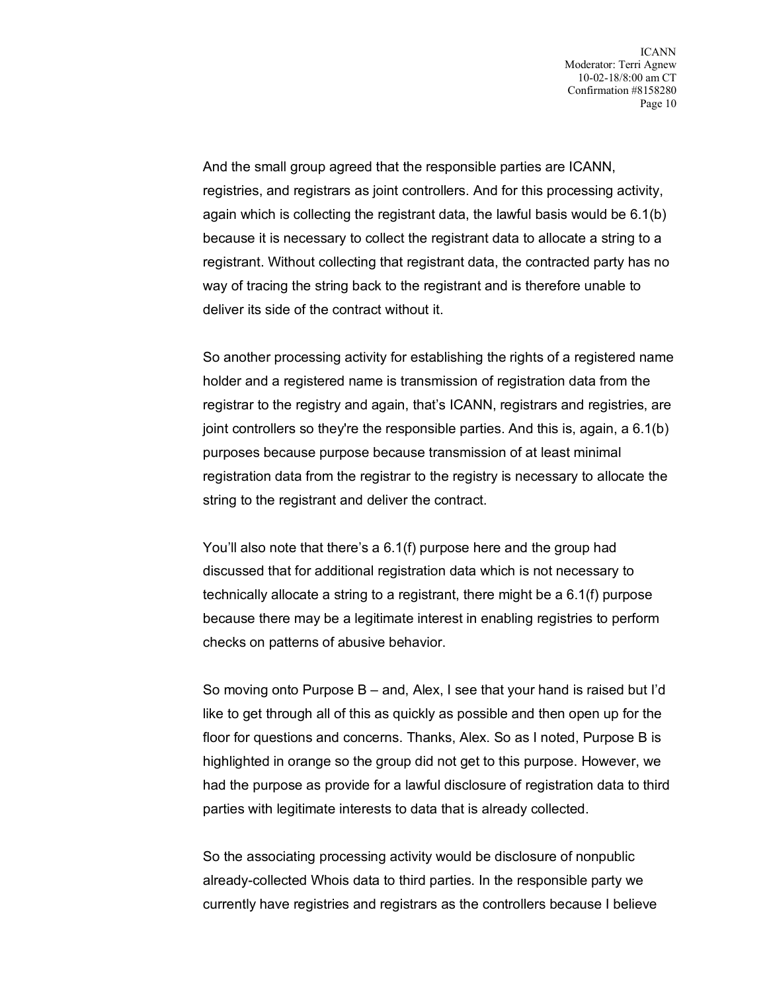And the small group agreed that the responsible parties are ICANN, registries, and registrars as joint controllers. And for this processing activity, again which is collecting the registrant data, the lawful basis would be 6.1(b) because it is necessary to collect the registrant data to allocate a string to a registrant. Without collecting that registrant data, the contracted party has no way of tracing the string back to the registrant and is therefore unable to deliver its side of the contract without it.

So another processing activity for establishing the rights of a registered name holder and a registered name is transmission of registration data from the registrar to the registry and again, that's ICANN, registrars and registries, are joint controllers so they're the responsible parties. And this is, again, a 6.1(b) purposes because purpose because transmission of at least minimal registration data from the registrar to the registry is necessary to allocate the string to the registrant and deliver the contract.

You'll also note that there's a 6.1(f) purpose here and the group had discussed that for additional registration data which is not necessary to technically allocate a string to a registrant, there might be a 6.1(f) purpose because there may be a legitimate interest in enabling registries to perform checks on patterns of abusive behavior.

So moving onto Purpose B – and, Alex, I see that your hand is raised but I'd like to get through all of this as quickly as possible and then open up for the floor for questions and concerns. Thanks, Alex. So as I noted, Purpose B is highlighted in orange so the group did not get to this purpose. However, we had the purpose as provide for a lawful disclosure of registration data to third parties with legitimate interests to data that is already collected.

So the associating processing activity would be disclosure of nonpublic already-collected Whois data to third parties. In the responsible party we currently have registries and registrars as the controllers because I believe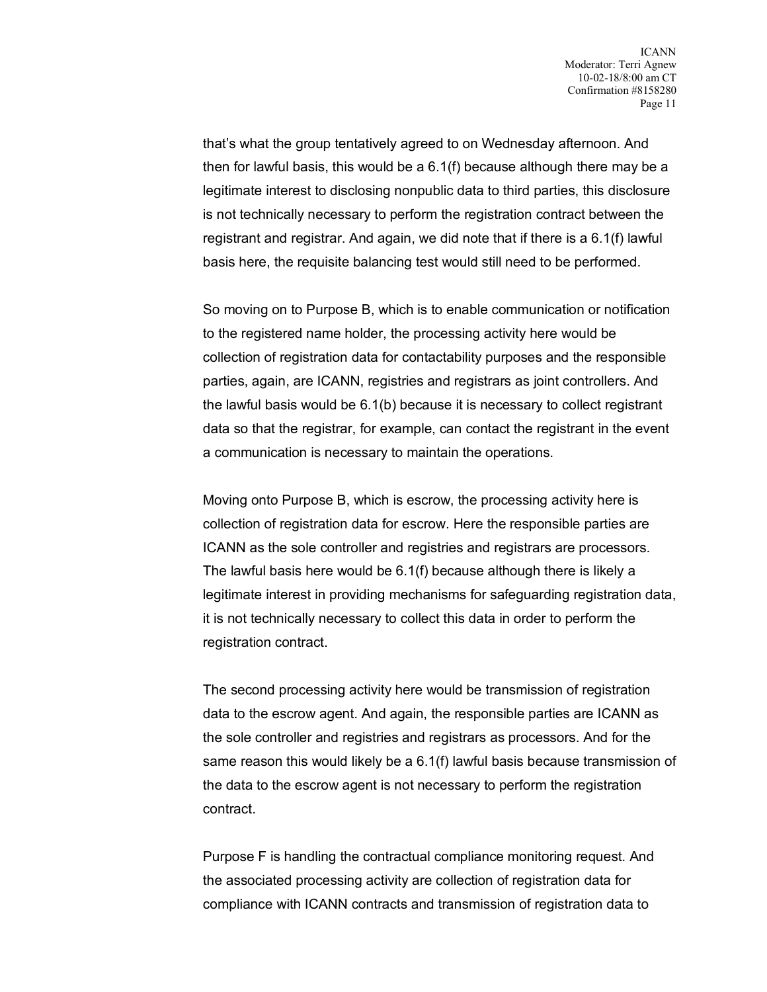that's what the group tentatively agreed to on Wednesday afternoon. And then for lawful basis, this would be a 6.1(f) because although there may be a legitimate interest to disclosing nonpublic data to third parties, this disclosure is not technically necessary to perform the registration contract between the registrant and registrar. And again, we did note that if there is a 6.1(f) lawful basis here, the requisite balancing test would still need to be performed.

So moving on to Purpose B, which is to enable communication or notification to the registered name holder, the processing activity here would be collection of registration data for contactability purposes and the responsible parties, again, are ICANN, registries and registrars as joint controllers. And the lawful basis would be 6.1(b) because it is necessary to collect registrant data so that the registrar, for example, can contact the registrant in the event a communication is necessary to maintain the operations.

Moving onto Purpose B, which is escrow, the processing activity here is collection of registration data for escrow. Here the responsible parties are ICANN as the sole controller and registries and registrars are processors. The lawful basis here would be 6.1(f) because although there is likely a legitimate interest in providing mechanisms for safeguarding registration data, it is not technically necessary to collect this data in order to perform the registration contract.

The second processing activity here would be transmission of registration data to the escrow agent. And again, the responsible parties are ICANN as the sole controller and registries and registrars as processors. And for the same reason this would likely be a 6.1(f) lawful basis because transmission of the data to the escrow agent is not necessary to perform the registration contract.

Purpose F is handling the contractual compliance monitoring request. And the associated processing activity are collection of registration data for compliance with ICANN contracts and transmission of registration data to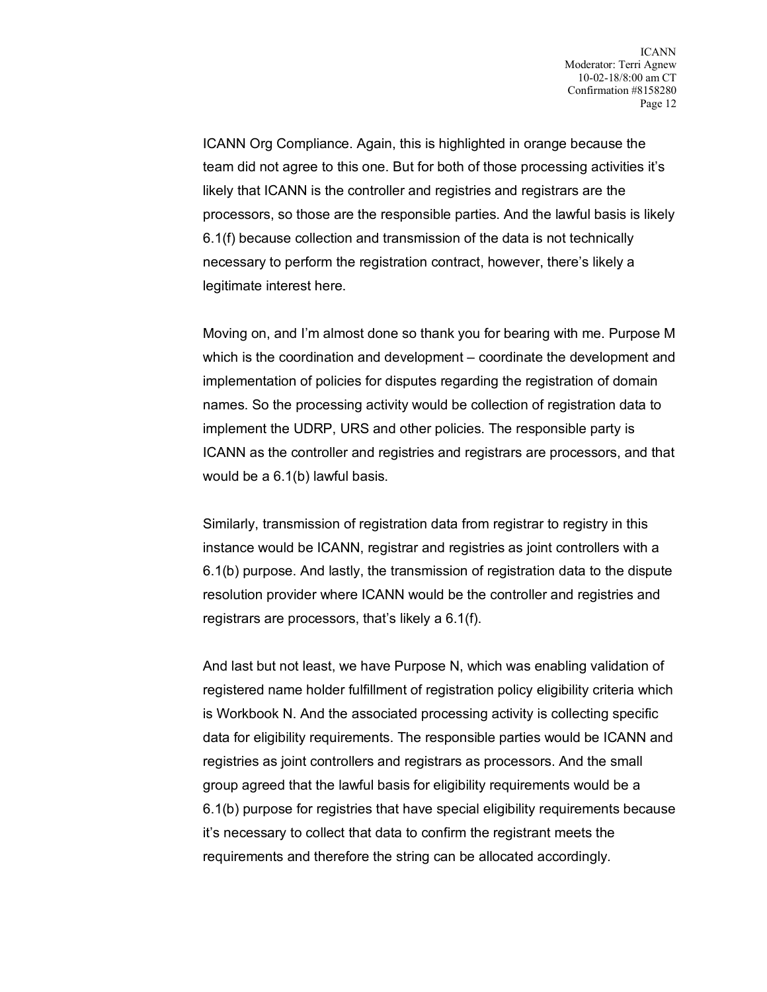ICANN Org Compliance. Again, this is highlighted in orange because the team did not agree to this one. But for both of those processing activities it's likely that ICANN is the controller and registries and registrars are the processors, so those are the responsible parties. And the lawful basis is likely 6.1(f) because collection and transmission of the data is not technically necessary to perform the registration contract, however, there's likely a legitimate interest here.

Moving on, and I'm almost done so thank you for bearing with me. Purpose M which is the coordination and development – coordinate the development and implementation of policies for disputes regarding the registration of domain names. So the processing activity would be collection of registration data to implement the UDRP, URS and other policies. The responsible party is ICANN as the controller and registries and registrars are processors, and that would be a 6.1(b) lawful basis.

Similarly, transmission of registration data from registrar to registry in this instance would be ICANN, registrar and registries as joint controllers with a 6.1(b) purpose. And lastly, the transmission of registration data to the dispute resolution provider where ICANN would be the controller and registries and registrars are processors, that's likely a 6.1(f).

And last but not least, we have Purpose N, which was enabling validation of registered name holder fulfillment of registration policy eligibility criteria which is Workbook N. And the associated processing activity is collecting specific data for eligibility requirements. The responsible parties would be ICANN and registries as joint controllers and registrars as processors. And the small group agreed that the lawful basis for eligibility requirements would be a 6.1(b) purpose for registries that have special eligibility requirements because it's necessary to collect that data to confirm the registrant meets the requirements and therefore the string can be allocated accordingly.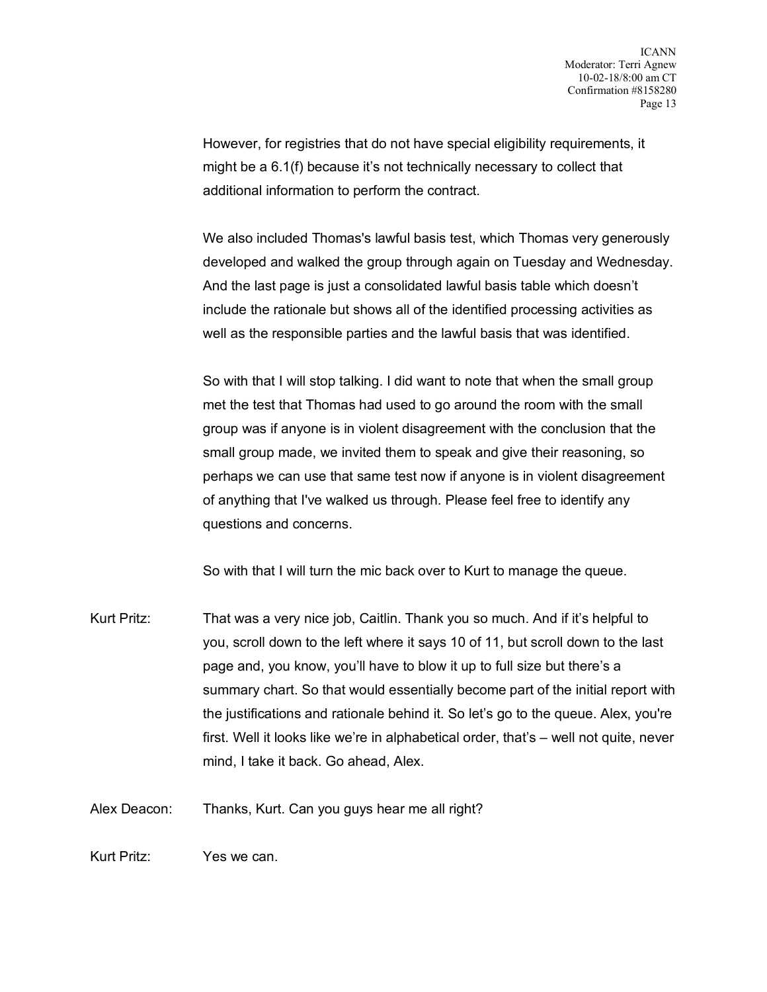However, for registries that do not have special eligibility requirements, it might be a 6.1(f) because it's not technically necessary to collect that additional information to perform the contract.

We also included Thomas's lawful basis test, which Thomas very generously developed and walked the group through again on Tuesday and Wednesday. And the last page is just a consolidated lawful basis table which doesn't include the rationale but shows all of the identified processing activities as well as the responsible parties and the lawful basis that was identified.

So with that I will stop talking. I did want to note that when the small group met the test that Thomas had used to go around the room with the small group was if anyone is in violent disagreement with the conclusion that the small group made, we invited them to speak and give their reasoning, so perhaps we can use that same test now if anyone is in violent disagreement of anything that I've walked us through. Please feel free to identify any questions and concerns.

So with that I will turn the mic back over to Kurt to manage the queue.

Kurt Pritz: That was a very nice job, Caitlin. Thank you so much. And if it's helpful to you, scroll down to the left where it says 10 of 11, but scroll down to the last page and, you know, you'll have to blow it up to full size but there's a summary chart. So that would essentially become part of the initial report with the justifications and rationale behind it. So let's go to the queue. Alex, you're first. Well it looks like we're in alphabetical order, that's – well not quite, never mind, I take it back. Go ahead, Alex.

Alex Deacon: Thanks, Kurt. Can you guys hear me all right?

Kurt Pritz: Yes we can.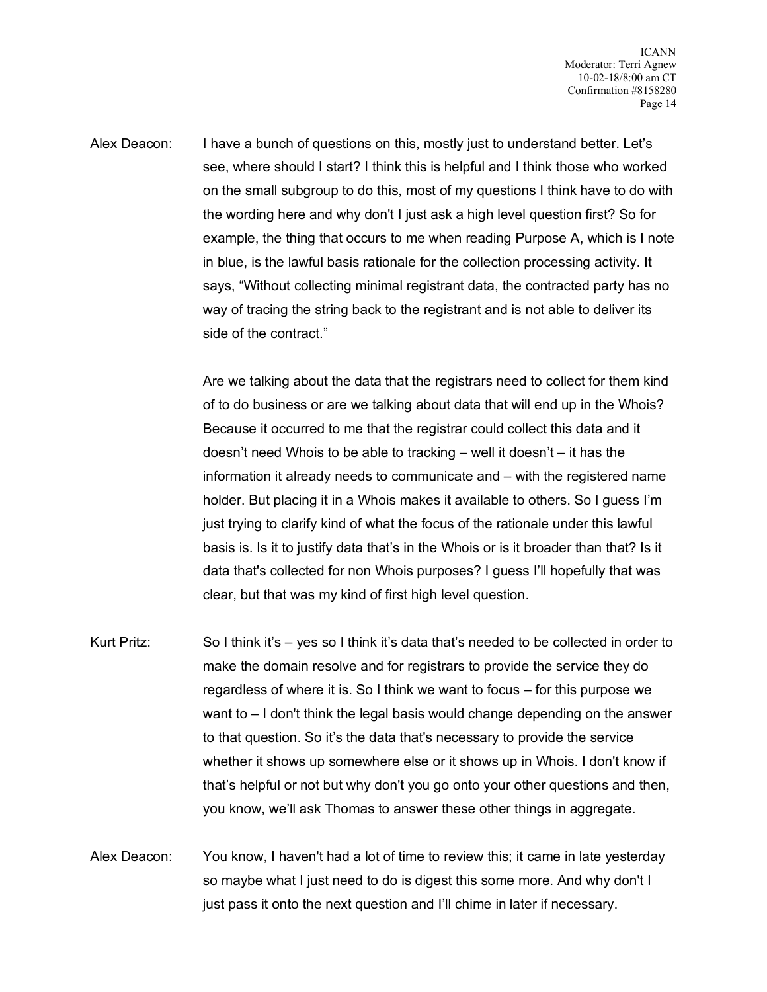Alex Deacon: I have a bunch of questions on this, mostly just to understand better. Let's see, where should I start? I think this is helpful and I think those who worked on the small subgroup to do this, most of my questions I think have to do with the wording here and why don't I just ask a high level question first? So for example, the thing that occurs to me when reading Purpose A, which is I note in blue, is the lawful basis rationale for the collection processing activity. It says, "Without collecting minimal registrant data, the contracted party has no way of tracing the string back to the registrant and is not able to deliver its side of the contract."

> Are we talking about the data that the registrars need to collect for them kind of to do business or are we talking about data that will end up in the Whois? Because it occurred to me that the registrar could collect this data and it doesn't need Whois to be able to tracking – well it doesn't – it has the information it already needs to communicate and – with the registered name holder. But placing it in a Whois makes it available to others. So I guess I'm just trying to clarify kind of what the focus of the rationale under this lawful basis is. Is it to justify data that's in the Whois or is it broader than that? Is it data that's collected for non Whois purposes? I guess I'll hopefully that was clear, but that was my kind of first high level question.

- Kurt Pritz: So I think it's yes so I think it's data that's needed to be collected in order to make the domain resolve and for registrars to provide the service they do regardless of where it is. So I think we want to focus – for this purpose we want to – I don't think the legal basis would change depending on the answer to that question. So it's the data that's necessary to provide the service whether it shows up somewhere else or it shows up in Whois. I don't know if that's helpful or not but why don't you go onto your other questions and then, you know, we'll ask Thomas to answer these other things in aggregate.
- Alex Deacon: You know, I haven't had a lot of time to review this; it came in late yesterday so maybe what I just need to do is digest this some more. And why don't I just pass it onto the next question and I'll chime in later if necessary.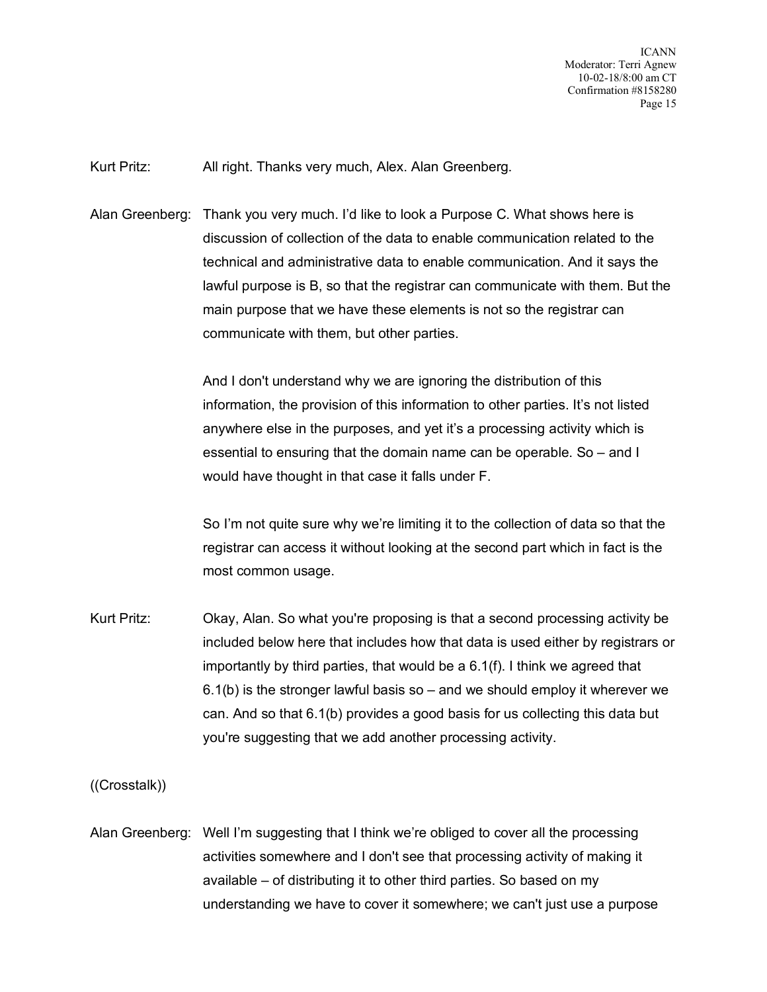ICANN Moderator: Terri Agnew 10-02-18/8:00 am CT Confirmation #8158280 Page 15

Kurt Pritz: All right. Thanks very much, Alex. Alan Greenberg.

Alan Greenberg: Thank you very much. I'd like to look a Purpose C. What shows here is discussion of collection of the data to enable communication related to the technical and administrative data to enable communication. And it says the lawful purpose is B, so that the registrar can communicate with them. But the main purpose that we have these elements is not so the registrar can communicate with them, but other parties.

> And I don't understand why we are ignoring the distribution of this information, the provision of this information to other parties. It's not listed anywhere else in the purposes, and yet it's a processing activity which is essential to ensuring that the domain name can be operable. So – and I would have thought in that case it falls under F.

So I'm not quite sure why we're limiting it to the collection of data so that the registrar can access it without looking at the second part which in fact is the most common usage.

Kurt Pritz: Okay, Alan. So what you're proposing is that a second processing activity be included below here that includes how that data is used either by registrars or importantly by third parties, that would be a 6.1(f). I think we agreed that  $6.1(b)$  is the stronger lawful basis so – and we should employ it wherever we can. And so that 6.1(b) provides a good basis for us collecting this data but you're suggesting that we add another processing activity.

((Crosstalk))

Alan Greenberg: Well I'm suggesting that I think we're obliged to cover all the processing activities somewhere and I don't see that processing activity of making it available – of distributing it to other third parties. So based on my understanding we have to cover it somewhere; we can't just use a purpose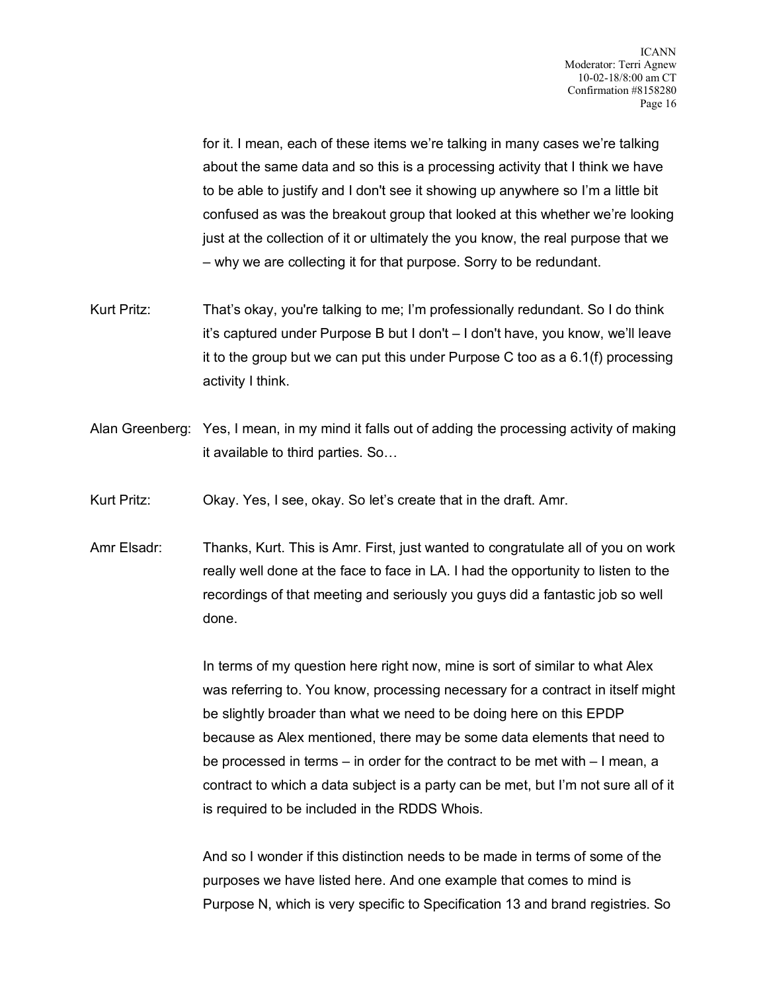for it. I mean, each of these items we're talking in many cases we're talking about the same data and so this is a processing activity that I think we have to be able to justify and I don't see it showing up anywhere so I'm a little bit confused as was the breakout group that looked at this whether we're looking just at the collection of it or ultimately the you know, the real purpose that we – why we are collecting it for that purpose. Sorry to be redundant.

- Kurt Pritz: That's okay, you're talking to me; I'm professionally redundant. So I do think it's captured under Purpose B but I don't – I don't have, you know, we'll leave it to the group but we can put this under Purpose C too as a 6.1(f) processing activity I think.
- Alan Greenberg: Yes, I mean, in my mind it falls out of adding the processing activity of making it available to third parties. So…

Kurt Pritz: Okay. Yes, I see, okay. So let's create that in the draft. Amr.

Amr Elsadr: Thanks, Kurt. This is Amr. First, just wanted to congratulate all of you on work really well done at the face to face in LA. I had the opportunity to listen to the recordings of that meeting and seriously you guys did a fantastic job so well done.

> In terms of my question here right now, mine is sort of similar to what Alex was referring to. You know, processing necessary for a contract in itself might be slightly broader than what we need to be doing here on this EPDP because as Alex mentioned, there may be some data elements that need to be processed in terms – in order for the contract to be met with – I mean, a contract to which a data subject is a party can be met, but I'm not sure all of it is required to be included in the RDDS Whois.

And so I wonder if this distinction needs to be made in terms of some of the purposes we have listed here. And one example that comes to mind is Purpose N, which is very specific to Specification 13 and brand registries. So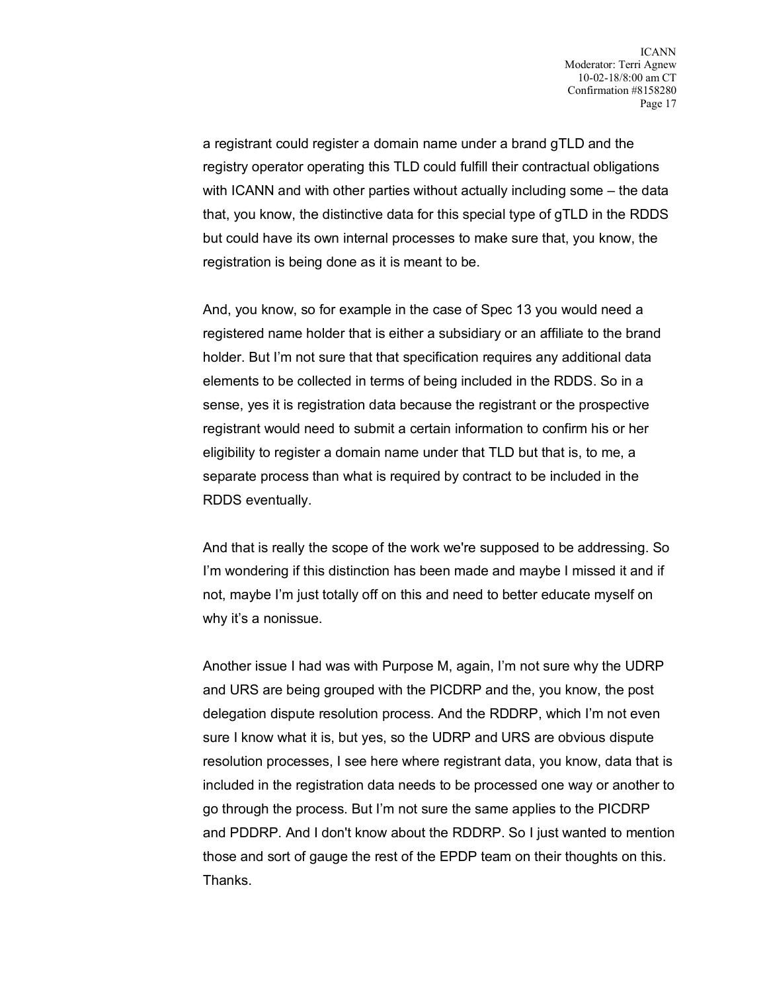a registrant could register a domain name under a brand gTLD and the registry operator operating this TLD could fulfill their contractual obligations with ICANN and with other parties without actually including some – the data that, you know, the distinctive data for this special type of gTLD in the RDDS but could have its own internal processes to make sure that, you know, the registration is being done as it is meant to be.

And, you know, so for example in the case of Spec 13 you would need a registered name holder that is either a subsidiary or an affiliate to the brand holder. But I'm not sure that that specification requires any additional data elements to be collected in terms of being included in the RDDS. So in a sense, yes it is registration data because the registrant or the prospective registrant would need to submit a certain information to confirm his or her eligibility to register a domain name under that TLD but that is, to me, a separate process than what is required by contract to be included in the RDDS eventually.

And that is really the scope of the work we're supposed to be addressing. So I'm wondering if this distinction has been made and maybe I missed it and if not, maybe I'm just totally off on this and need to better educate myself on why it's a nonissue.

Another issue I had was with Purpose M, again, I'm not sure why the UDRP and URS are being grouped with the PICDRP and the, you know, the post delegation dispute resolution process. And the RDDRP, which I'm not even sure I know what it is, but yes, so the UDRP and URS are obvious dispute resolution processes, I see here where registrant data, you know, data that is included in the registration data needs to be processed one way or another to go through the process. But I'm not sure the same applies to the PICDRP and PDDRP. And I don't know about the RDDRP. So I just wanted to mention those and sort of gauge the rest of the EPDP team on their thoughts on this. Thanks.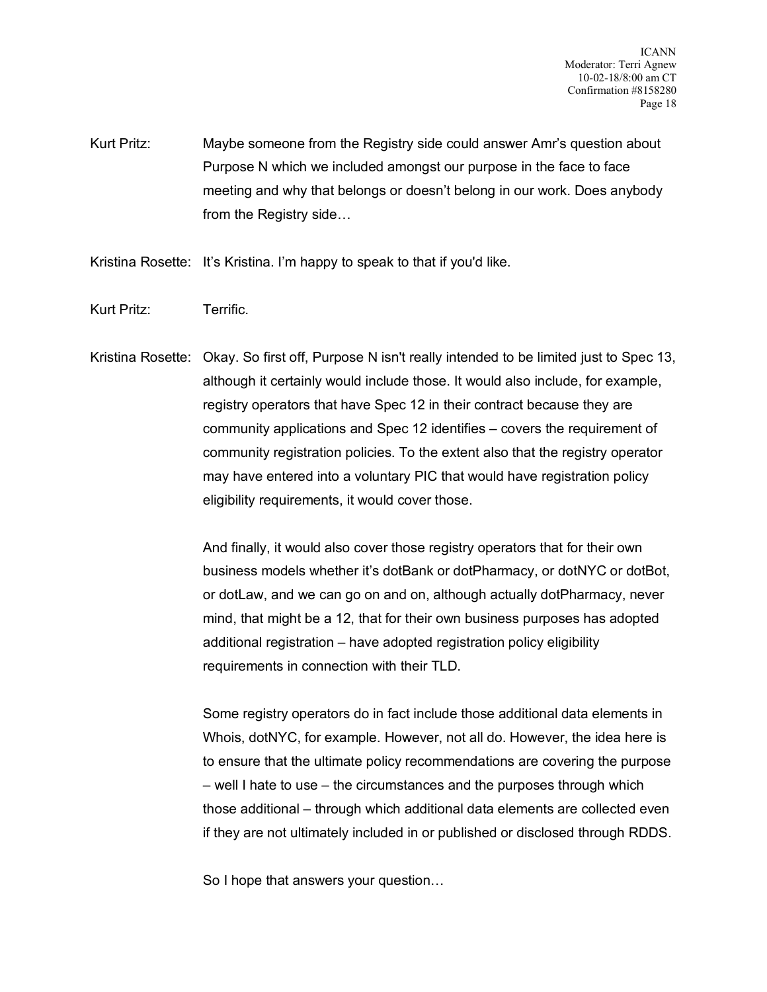ICANN Moderator: Terri Agnew 10-02-18/8:00 am CT Confirmation #8158280 Page 18

Kurt Pritz: Maybe someone from the Registry side could answer Amr's question about Purpose N which we included amongst our purpose in the face to face meeting and why that belongs or doesn't belong in our work. Does anybody from the Registry side…

Kristina Rosette: It's Kristina. I'm happy to speak to that if you'd like.

Kurt Pritz: Terrific.

Kristina Rosette: Okay. So first off, Purpose N isn't really intended to be limited just to Spec 13, although it certainly would include those. It would also include, for example, registry operators that have Spec 12 in their contract because they are community applications and Spec 12 identifies – covers the requirement of community registration policies. To the extent also that the registry operator may have entered into a voluntary PIC that would have registration policy eligibility requirements, it would cover those.

> And finally, it would also cover those registry operators that for their own business models whether it's dotBank or dotPharmacy, or dotNYC or dotBot, or dotLaw, and we can go on and on, although actually dotPharmacy, never mind, that might be a 12, that for their own business purposes has adopted additional registration – have adopted registration policy eligibility requirements in connection with their TLD.

> Some registry operators do in fact include those additional data elements in Whois, dotNYC, for example. However, not all do. However, the idea here is to ensure that the ultimate policy recommendations are covering the purpose – well I hate to use – the circumstances and the purposes through which those additional – through which additional data elements are collected even if they are not ultimately included in or published or disclosed through RDDS.

So I hope that answers your question…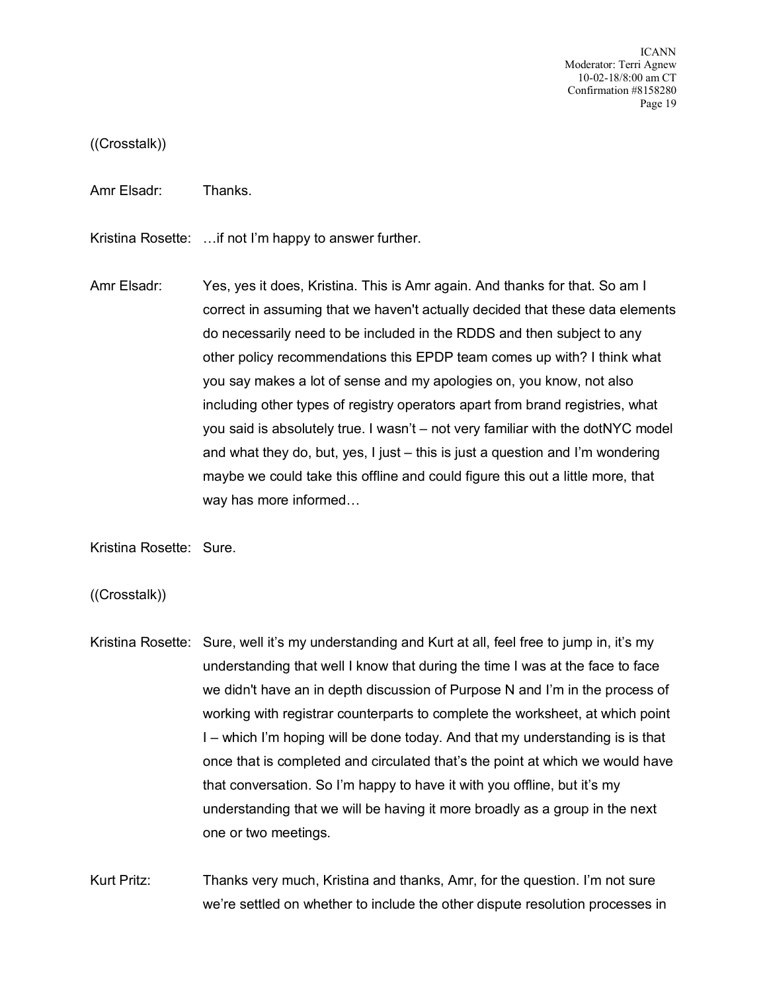ICANN Moderator: Terri Agnew 10-02-18/8:00 am CT Confirmation #8158280 Page 19

((Crosstalk))

Amr Elsadr: Thanks.

Kristina Rosette: …if not I'm happy to answer further.

Amr Elsadr: Yes, yes it does, Kristina. This is Amr again. And thanks for that. So am I correct in assuming that we haven't actually decided that these data elements do necessarily need to be included in the RDDS and then subject to any other policy recommendations this EPDP team comes up with? I think what you say makes a lot of sense and my apologies on, you know, not also including other types of registry operators apart from brand registries, what you said is absolutely true. I wasn't – not very familiar with the dotNYC model and what they do, but, yes, I just – this is just a question and I'm wondering maybe we could take this offline and could figure this out a little more, that way has more informed…

Kristina Rosette: Sure.

((Crosstalk))

Kristina Rosette: Sure, well it's my understanding and Kurt at all, feel free to jump in, it's my understanding that well I know that during the time I was at the face to face we didn't have an in depth discussion of Purpose N and I'm in the process of working with registrar counterparts to complete the worksheet, at which point I – which I'm hoping will be done today. And that my understanding is is that once that is completed and circulated that's the point at which we would have that conversation. So I'm happy to have it with you offline, but it's my understanding that we will be having it more broadly as a group in the next one or two meetings.

Kurt Pritz: Thanks very much, Kristina and thanks, Amr, for the question. I'm not sure we're settled on whether to include the other dispute resolution processes in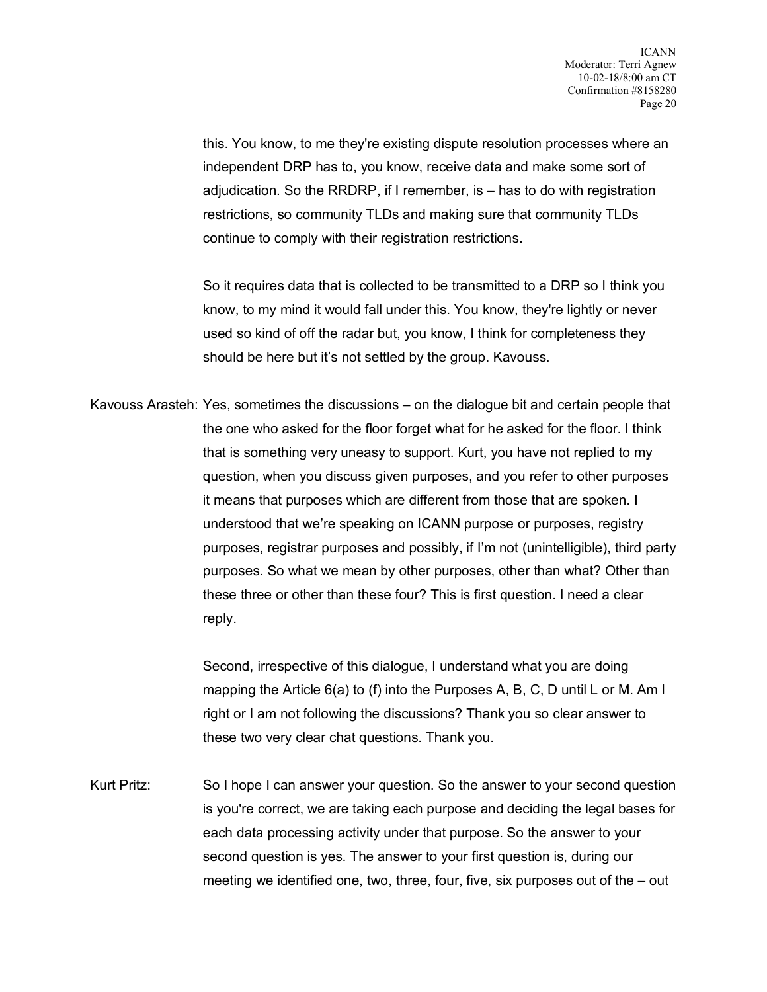this. You know, to me they're existing dispute resolution processes where an independent DRP has to, you know, receive data and make some sort of adjudication. So the RRDRP, if I remember, is – has to do with registration restrictions, so community TLDs and making sure that community TLDs continue to comply with their registration restrictions.

So it requires data that is collected to be transmitted to a DRP so I think you know, to my mind it would fall under this. You know, they're lightly or never used so kind of off the radar but, you know, I think for completeness they should be here but it's not settled by the group. Kavouss.

Kavouss Arasteh: Yes, sometimes the discussions – on the dialogue bit and certain people that the one who asked for the floor forget what for he asked for the floor. I think that is something very uneasy to support. Kurt, you have not replied to my question, when you discuss given purposes, and you refer to other purposes it means that purposes which are different from those that are spoken. I understood that we're speaking on ICANN purpose or purposes, registry purposes, registrar purposes and possibly, if I'm not (unintelligible), third party purposes. So what we mean by other purposes, other than what? Other than these three or other than these four? This is first question. I need a clear reply.

> Second, irrespective of this dialogue, I understand what you are doing mapping the Article 6(a) to (f) into the Purposes A, B, C, D until L or M. Am I right or I am not following the discussions? Thank you so clear answer to these two very clear chat questions. Thank you.

Kurt Pritz: So I hope I can answer your question. So the answer to your second question is you're correct, we are taking each purpose and deciding the legal bases for each data processing activity under that purpose. So the answer to your second question is yes. The answer to your first question is, during our meeting we identified one, two, three, four, five, six purposes out of the – out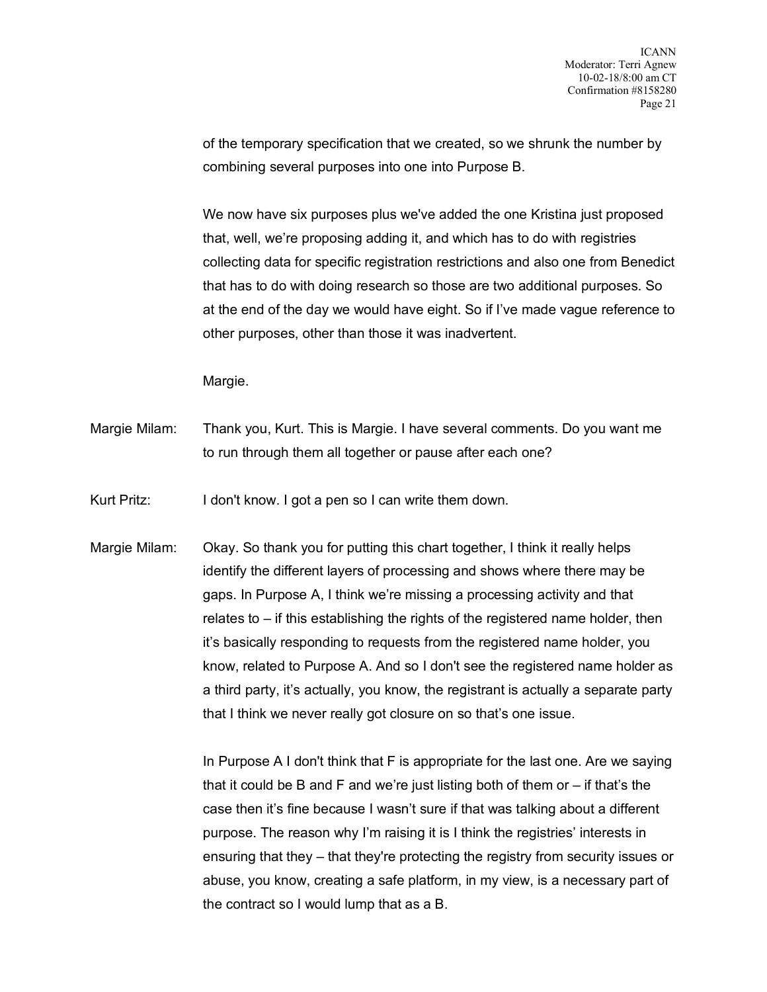of the temporary specification that we created, so we shrunk the number by combining several purposes into one into Purpose B.

We now have six purposes plus we've added the one Kristina just proposed that, well, we're proposing adding it, and which has to do with registries collecting data for specific registration restrictions and also one from Benedict that has to do with doing research so those are two additional purposes. So at the end of the day we would have eight. So if I've made vague reference to other purposes, other than those it was inadvertent.

Margie.

Margie Milam: Thank you, Kurt. This is Margie. I have several comments. Do you want me to run through them all together or pause after each one?

Kurt Pritz: I don't know. I got a pen so I can write them down.

Margie Milam: Okay. So thank you for putting this chart together, I think it really helps identify the different layers of processing and shows where there may be gaps. In Purpose A, I think we're missing a processing activity and that relates to – if this establishing the rights of the registered name holder, then it's basically responding to requests from the registered name holder, you know, related to Purpose A. And so I don't see the registered name holder as a third party, it's actually, you know, the registrant is actually a separate party that I think we never really got closure on so that's one issue.

> In Purpose A I don't think that F is appropriate for the last one. Are we saying that it could be B and F and we're just listing both of them or – if that's the case then it's fine because I wasn't sure if that was talking about a different purpose. The reason why I'm raising it is I think the registries' interests in ensuring that they – that they're protecting the registry from security issues or abuse, you know, creating a safe platform, in my view, is a necessary part of the contract so I would lump that as a B.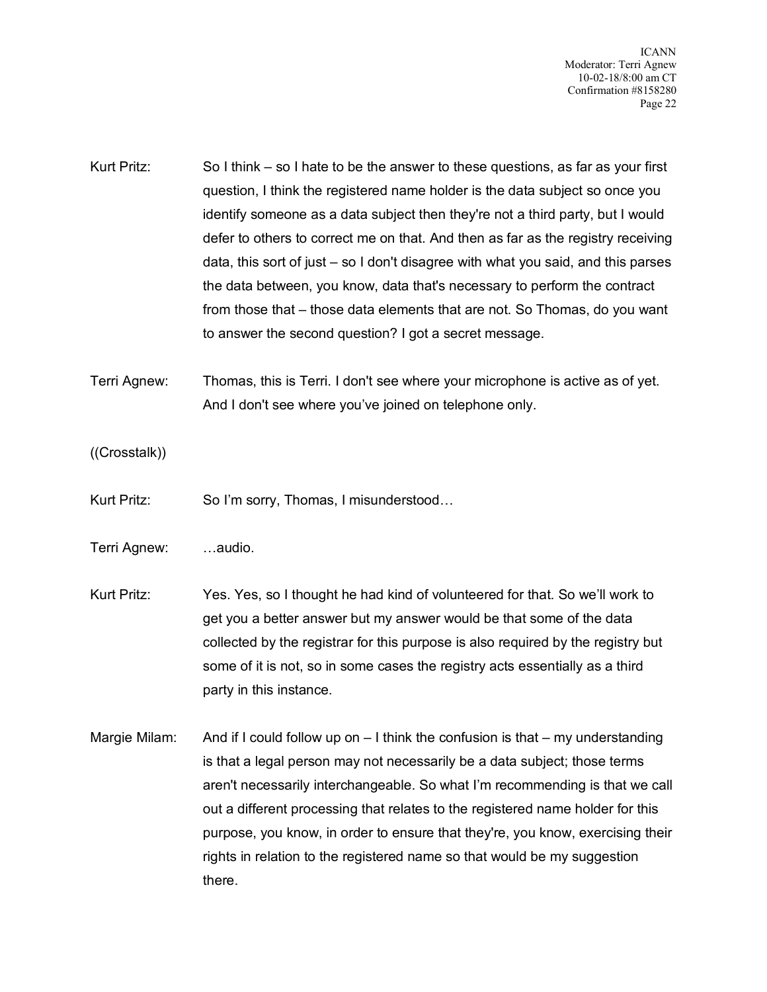ICANN Moderator: Terri Agnew 10-02-18/8:00 am CT Confirmation #8158280 Page 22

Kurt Pritz: So I think – so I hate to be the answer to these questions, as far as your first question, I think the registered name holder is the data subject so once you identify someone as a data subject then they're not a third party, but I would defer to others to correct me on that. And then as far as the registry receiving data, this sort of just – so I don't disagree with what you said, and this parses the data between, you know, data that's necessary to perform the contract from those that – those data elements that are not. So Thomas, do you want to answer the second question? I got a secret message.

Terri Agnew: Thomas, this is Terri. I don't see where your microphone is active as of yet. And I don't see where you've joined on telephone only.

((Crosstalk))

Kurt Pritz: So I'm sorry, Thomas, I misunderstood…

Terri Agnew: …audio.

Kurt Pritz: Yes. Yes, so I thought he had kind of volunteered for that. So we'll work to get you a better answer but my answer would be that some of the data collected by the registrar for this purpose is also required by the registry but some of it is not, so in some cases the registry acts essentially as a third party in this instance.

Margie Milam: And if I could follow up on – I think the confusion is that – my understanding is that a legal person may not necessarily be a data subject; those terms aren't necessarily interchangeable. So what I'm recommending is that we call out a different processing that relates to the registered name holder for this purpose, you know, in order to ensure that they're, you know, exercising their rights in relation to the registered name so that would be my suggestion there.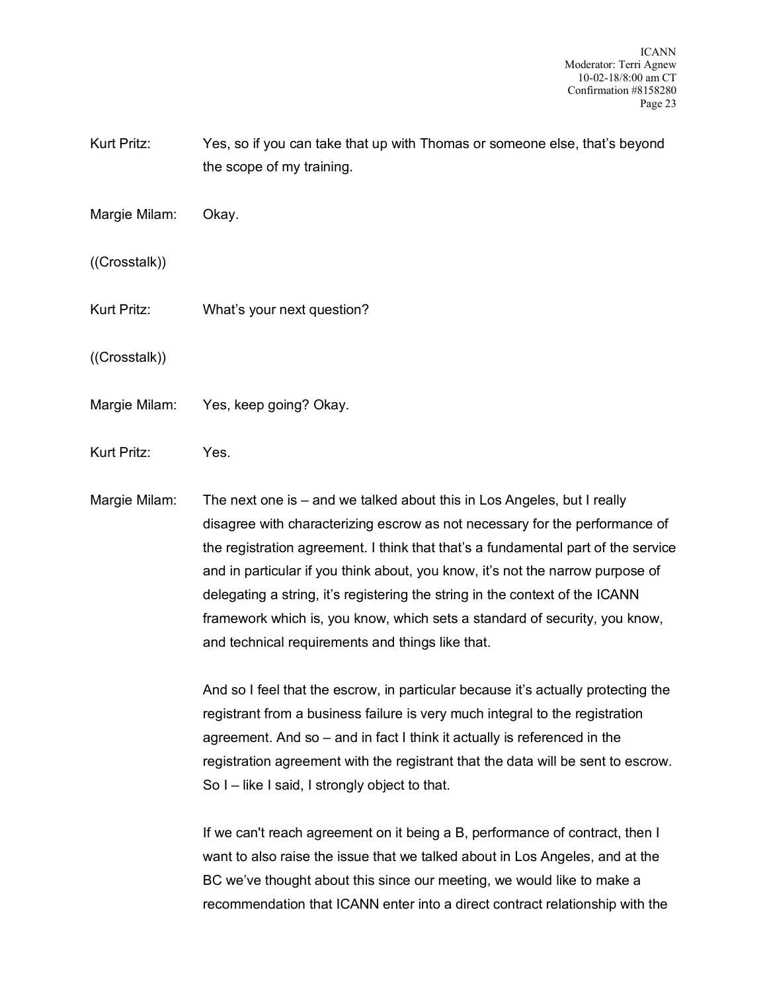ICANN Moderator: Terri Agnew 10-02-18/8:00 am CT Confirmation #8158280 Page 23

- Kurt Pritz: Yes, so if you can take that up with Thomas or someone else, that's beyond the scope of my training.
- Margie Milam: Okay.
- ((Crosstalk))
- Kurt Pritz: What's your next question?
- ((Crosstalk))
- Margie Milam: Yes, keep going? Okay.
- Kurt Pritz: Yes.

Margie Milam: The next one is – and we talked about this in Los Angeles, but I really disagree with characterizing escrow as not necessary for the performance of the registration agreement. I think that that's a fundamental part of the service and in particular if you think about, you know, it's not the narrow purpose of delegating a string, it's registering the string in the context of the ICANN framework which is, you know, which sets a standard of security, you know, and technical requirements and things like that.

> And so I feel that the escrow, in particular because it's actually protecting the registrant from a business failure is very much integral to the registration agreement. And so – and in fact I think it actually is referenced in the registration agreement with the registrant that the data will be sent to escrow. So I – like I said, I strongly object to that.

> If we can't reach agreement on it being a B, performance of contract, then I want to also raise the issue that we talked about in Los Angeles, and at the BC we've thought about this since our meeting, we would like to make a recommendation that ICANN enter into a direct contract relationship with the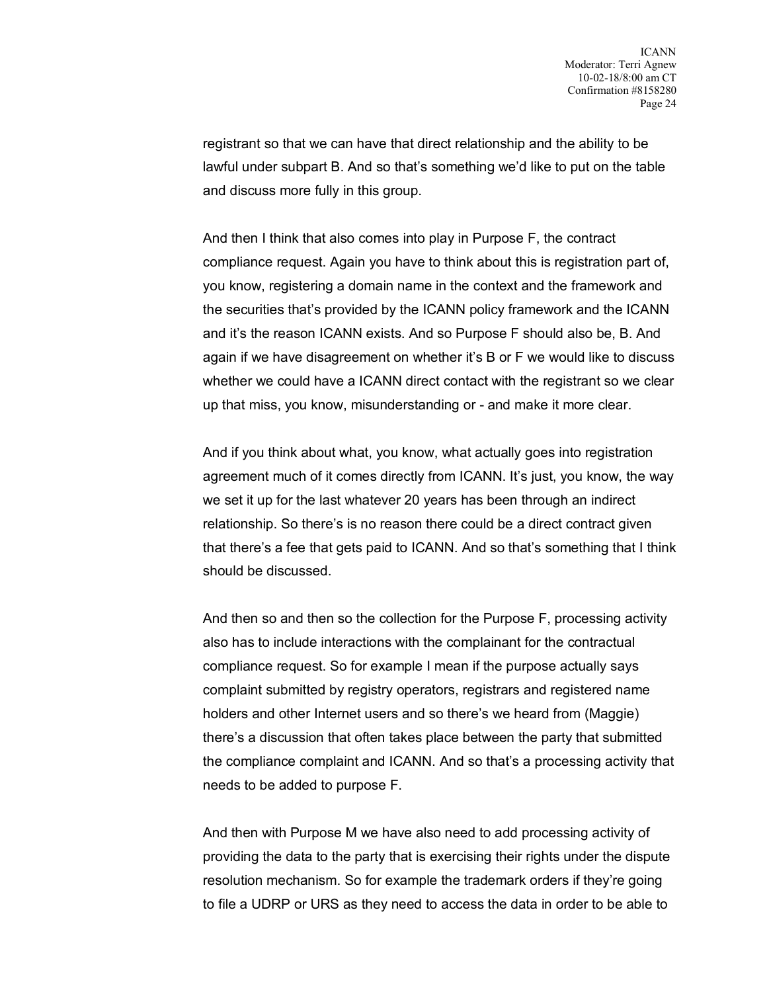registrant so that we can have that direct relationship and the ability to be lawful under subpart B. And so that's something we'd like to put on the table and discuss more fully in this group.

And then I think that also comes into play in Purpose F, the contract compliance request. Again you have to think about this is registration part of, you know, registering a domain name in the context and the framework and the securities that's provided by the ICANN policy framework and the ICANN and it's the reason ICANN exists. And so Purpose F should also be, B. And again if we have disagreement on whether it's B or F we would like to discuss whether we could have a ICANN direct contact with the registrant so we clear up that miss, you know, misunderstanding or - and make it more clear.

And if you think about what, you know, what actually goes into registration agreement much of it comes directly from ICANN. It's just, you know, the way we set it up for the last whatever 20 years has been through an indirect relationship. So there's is no reason there could be a direct contract given that there's a fee that gets paid to ICANN. And so that's something that I think should be discussed.

And then so and then so the collection for the Purpose F, processing activity also has to include interactions with the complainant for the contractual compliance request. So for example I mean if the purpose actually says complaint submitted by registry operators, registrars and registered name holders and other Internet users and so there's we heard from (Maggie) there's a discussion that often takes place between the party that submitted the compliance complaint and ICANN. And so that's a processing activity that needs to be added to purpose F.

And then with Purpose M we have also need to add processing activity of providing the data to the party that is exercising their rights under the dispute resolution mechanism. So for example the trademark orders if they're going to file a UDRP or URS as they need to access the data in order to be able to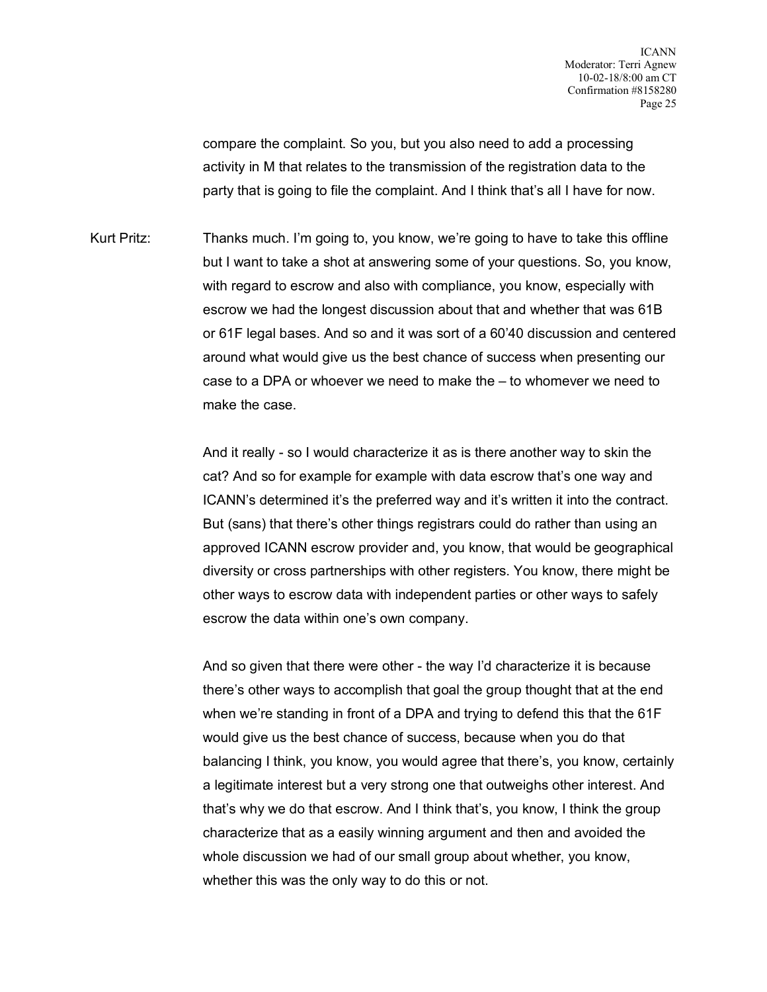compare the complaint. So you, but you also need to add a processing activity in M that relates to the transmission of the registration data to the party that is going to file the complaint. And I think that's all I have for now.

Kurt Pritz: Thanks much. I'm going to, you know, we're going to have to take this offline but I want to take a shot at answering some of your questions. So, you know, with regard to escrow and also with compliance, you know, especially with escrow we had the longest discussion about that and whether that was 61B or 61F legal bases. And so and it was sort of a 60'40 discussion and centered around what would give us the best chance of success when presenting our case to a DPA or whoever we need to make the – to whomever we need to make the case.

> And it really - so I would characterize it as is there another way to skin the cat? And so for example for example with data escrow that's one way and ICANN's determined it's the preferred way and it's written it into the contract. But (sans) that there's other things registrars could do rather than using an approved ICANN escrow provider and, you know, that would be geographical diversity or cross partnerships with other registers. You know, there might be other ways to escrow data with independent parties or other ways to safely escrow the data within one's own company.

> And so given that there were other - the way I'd characterize it is because there's other ways to accomplish that goal the group thought that at the end when we're standing in front of a DPA and trying to defend this that the 61F would give us the best chance of success, because when you do that balancing I think, you know, you would agree that there's, you know, certainly a legitimate interest but a very strong one that outweighs other interest. And that's why we do that escrow. And I think that's, you know, I think the group characterize that as a easily winning argument and then and avoided the whole discussion we had of our small group about whether, you know, whether this was the only way to do this or not.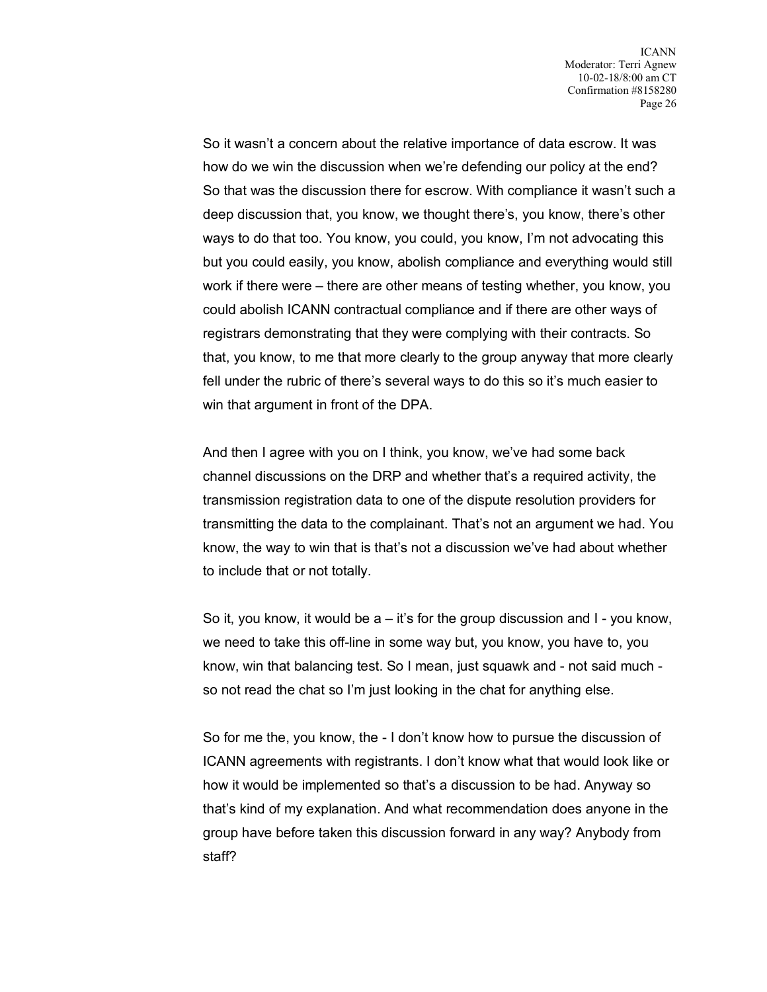So it wasn't a concern about the relative importance of data escrow. It was how do we win the discussion when we're defending our policy at the end? So that was the discussion there for escrow. With compliance it wasn't such a deep discussion that, you know, we thought there's, you know, there's other ways to do that too. You know, you could, you know, I'm not advocating this but you could easily, you know, abolish compliance and everything would still work if there were – there are other means of testing whether, you know, you could abolish ICANN contractual compliance and if there are other ways of registrars demonstrating that they were complying with their contracts. So that, you know, to me that more clearly to the group anyway that more clearly fell under the rubric of there's several ways to do this so it's much easier to win that argument in front of the DPA.

And then I agree with you on I think, you know, we've had some back channel discussions on the DRP and whether that's a required activity, the transmission registration data to one of the dispute resolution providers for transmitting the data to the complainant. That's not an argument we had. You know, the way to win that is that's not a discussion we've had about whether to include that or not totally.

So it, you know, it would be  $a - i t$ 's for the group discussion and  $I - y$ ou know, we need to take this off-line in some way but, you know, you have to, you know, win that balancing test. So I mean, just squawk and - not said much so not read the chat so I'm just looking in the chat for anything else.

So for me the, you know, the - I don't know how to pursue the discussion of ICANN agreements with registrants. I don't know what that would look like or how it would be implemented so that's a discussion to be had. Anyway so that's kind of my explanation. And what recommendation does anyone in the group have before taken this discussion forward in any way? Anybody from staff?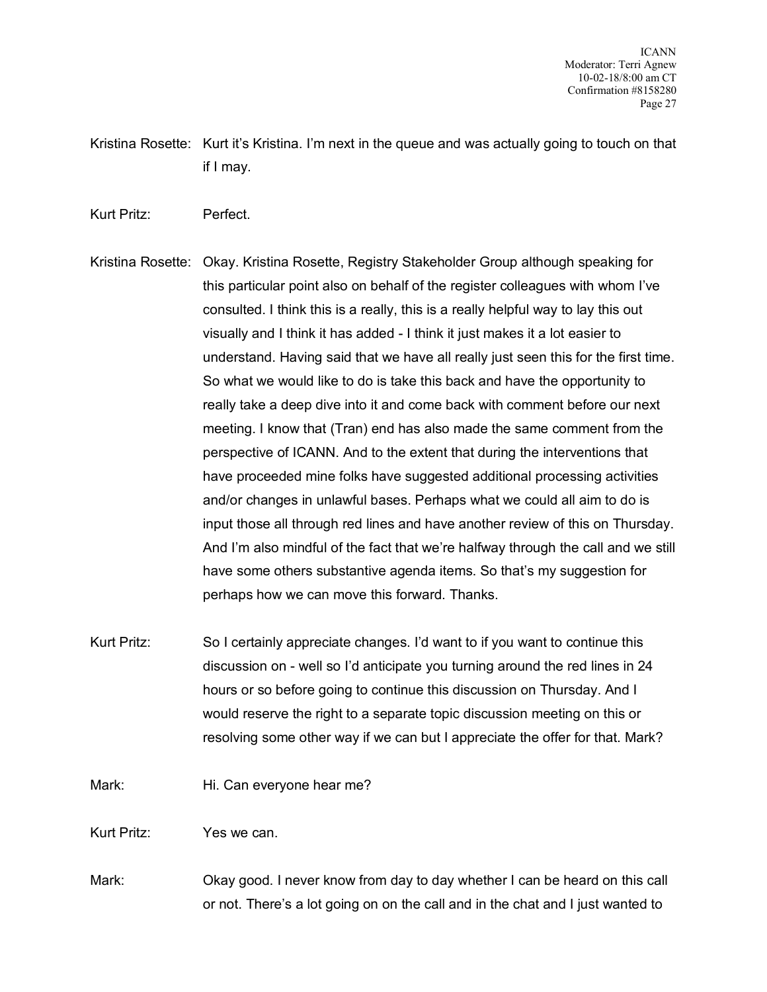- Kristina Rosette: Kurt it's Kristina. I'm next in the queue and was actually going to touch on that if I may.
- Kurt Pritz: Perfect.
- Kristina Rosette: Okay. Kristina Rosette, Registry Stakeholder Group although speaking for this particular point also on behalf of the register colleagues with whom I've consulted. I think this is a really, this is a really helpful way to lay this out visually and I think it has added - I think it just makes it a lot easier to understand. Having said that we have all really just seen this for the first time. So what we would like to do is take this back and have the opportunity to really take a deep dive into it and come back with comment before our next meeting. I know that (Tran) end has also made the same comment from the perspective of ICANN. And to the extent that during the interventions that have proceeded mine folks have suggested additional processing activities and/or changes in unlawful bases. Perhaps what we could all aim to do is input those all through red lines and have another review of this on Thursday. And I'm also mindful of the fact that we're halfway through the call and we still have some others substantive agenda items. So that's my suggestion for perhaps how we can move this forward. Thanks.
- Kurt Pritz: So I certainly appreciate changes. I'd want to if you want to continue this discussion on - well so I'd anticipate you turning around the red lines in 24 hours or so before going to continue this discussion on Thursday. And I would reserve the right to a separate topic discussion meeting on this or resolving some other way if we can but I appreciate the offer for that. Mark?
- Mark: Hi. Can everyone hear me?
- Kurt Pritz: Yes we can.
- Mark: Okay good. I never know from day to day whether I can be heard on this call or not. There's a lot going on on the call and in the chat and I just wanted to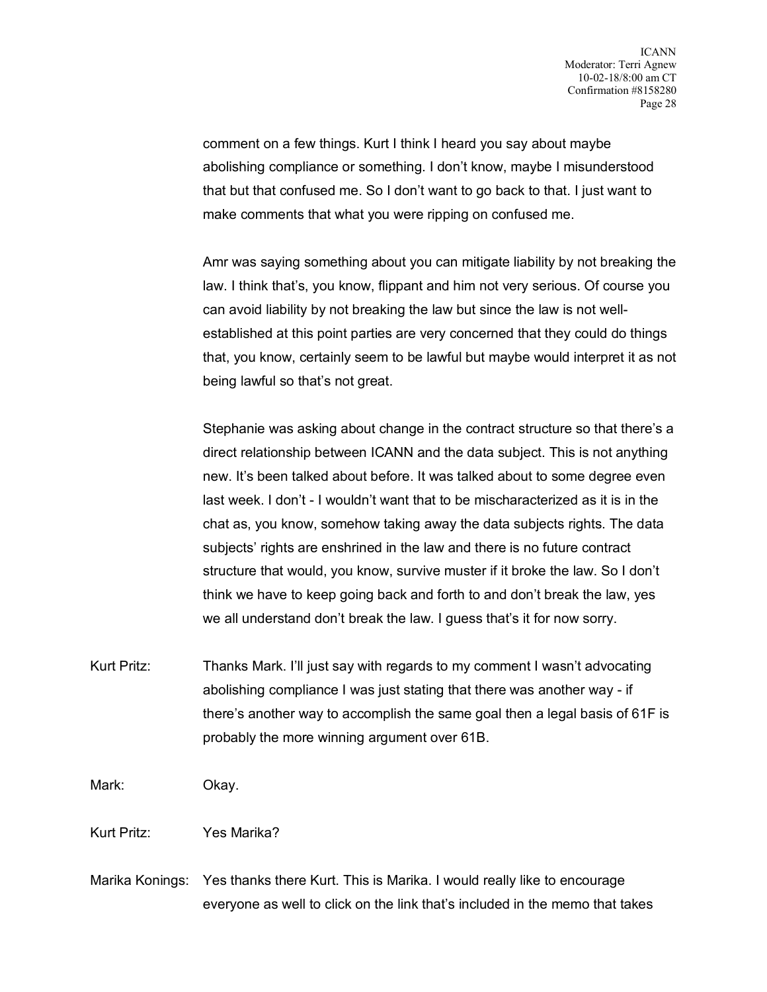comment on a few things. Kurt I think I heard you say about maybe abolishing compliance or something. I don't know, maybe I misunderstood that but that confused me. So I don't want to go back to that. I just want to make comments that what you were ripping on confused me.

Amr was saying something about you can mitigate liability by not breaking the law. I think that's, you know, flippant and him not very serious. Of course you can avoid liability by not breaking the law but since the law is not wellestablished at this point parties are very concerned that they could do things that, you know, certainly seem to be lawful but maybe would interpret it as not being lawful so that's not great.

Stephanie was asking about change in the contract structure so that there's a direct relationship between ICANN and the data subject. This is not anything new. It's been talked about before. It was talked about to some degree even last week. I don't - I wouldn't want that to be mischaracterized as it is in the chat as, you know, somehow taking away the data subjects rights. The data subjects' rights are enshrined in the law and there is no future contract structure that would, you know, survive muster if it broke the law. So I don't think we have to keep going back and forth to and don't break the law, yes we all understand don't break the law. I guess that's it for now sorry.

Kurt Pritz: Thanks Mark. I'll just say with regards to my comment I wasn't advocating abolishing compliance I was just stating that there was another way - if there's another way to accomplish the same goal then a legal basis of 61F is probably the more winning argument over 61B.

Mark: Okay.

Kurt Pritz: Yes Marika?

Marika Konings: Yes thanks there Kurt. This is Marika. I would really like to encourage everyone as well to click on the link that's included in the memo that takes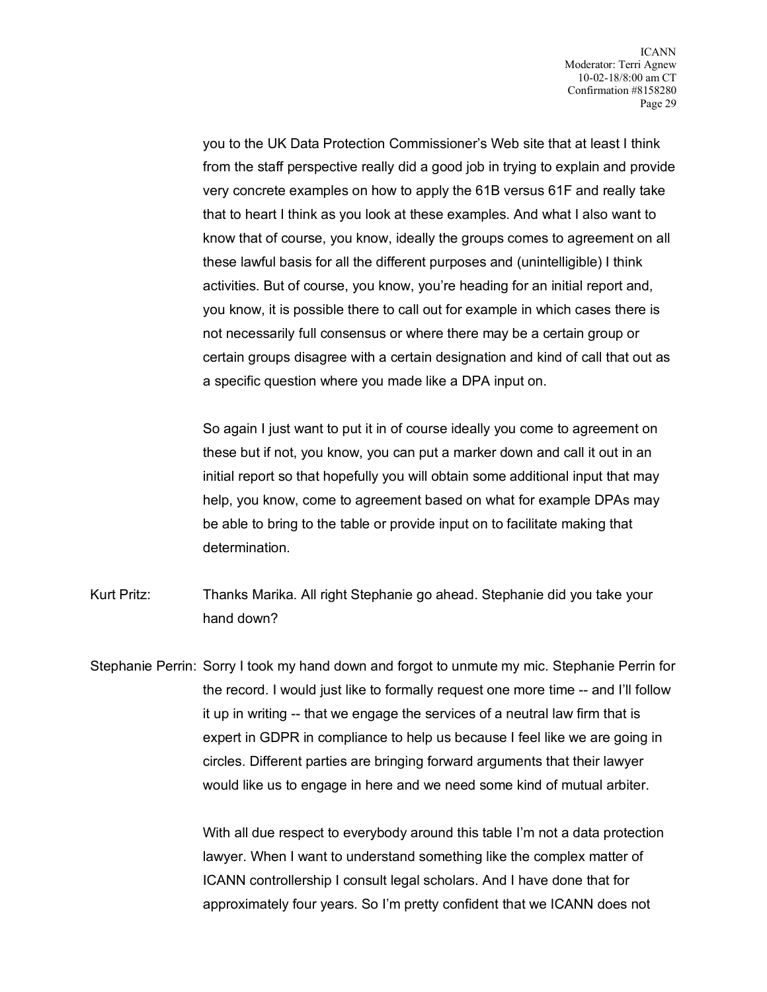you to the UK Data Protection Commissioner's Web site that at least I think from the staff perspective really did a good job in trying to explain and provide very concrete examples on how to apply the 61B versus 61F and really take that to heart I think as you look at these examples. And what I also want to know that of course, you know, ideally the groups comes to agreement on all these lawful basis for all the different purposes and (unintelligible) I think activities. But of course, you know, you're heading for an initial report and, you know, it is possible there to call out for example in which cases there is not necessarily full consensus or where there may be a certain group or certain groups disagree with a certain designation and kind of call that out as a specific question where you made like a DPA input on.

So again I just want to put it in of course ideally you come to agreement on these but if not, you know, you can put a marker down and call it out in an initial report so that hopefully you will obtain some additional input that may help, you know, come to agreement based on what for example DPAs may be able to bring to the table or provide input on to facilitate making that determination.

- Kurt Pritz: Thanks Marika. All right Stephanie go ahead. Stephanie did you take your hand down?
- Stephanie Perrin: Sorry I took my hand down and forgot to unmute my mic. Stephanie Perrin for the record. I would just like to formally request one more time -- and I'll follow it up in writing -- that we engage the services of a neutral law firm that is expert in GDPR in compliance to help us because I feel like we are going in circles. Different parties are bringing forward arguments that their lawyer would like us to engage in here and we need some kind of mutual arbiter.

With all due respect to everybody around this table I'm not a data protection lawyer. When I want to understand something like the complex matter of ICANN controllership I consult legal scholars. And I have done that for approximately four years. So I'm pretty confident that we ICANN does not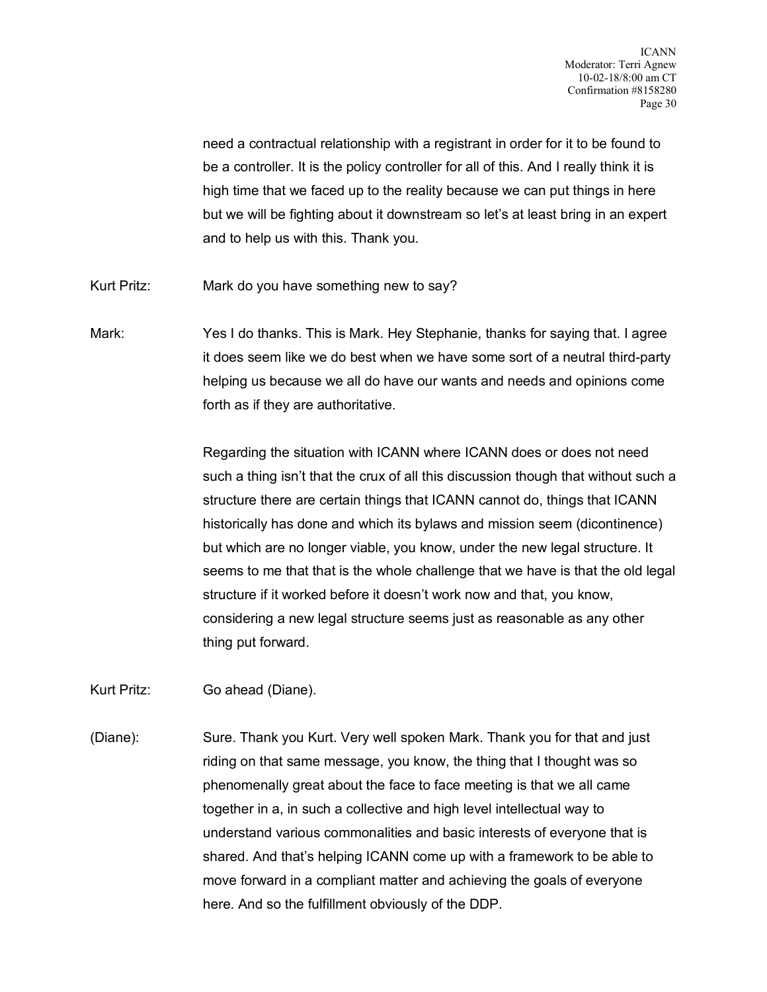need a contractual relationship with a registrant in order for it to be found to be a controller. It is the policy controller for all of this. And I really think it is high time that we faced up to the reality because we can put things in here but we will be fighting about it downstream so let's at least bring in an expert and to help us with this. Thank you.

- Kurt Pritz: Mark do you have something new to say?
- Mark: Yes I do thanks. This is Mark. Hey Stephanie, thanks for saying that. I agree it does seem like we do best when we have some sort of a neutral third-party helping us because we all do have our wants and needs and opinions come forth as if they are authoritative.

Regarding the situation with ICANN where ICANN does or does not need such a thing isn't that the crux of all this discussion though that without such a structure there are certain things that ICANN cannot do, things that ICANN historically has done and which its bylaws and mission seem (dicontinence) but which are no longer viable, you know, under the new legal structure. It seems to me that that is the whole challenge that we have is that the old legal structure if it worked before it doesn't work now and that, you know, considering a new legal structure seems just as reasonable as any other thing put forward.

- Kurt Pritz: Go ahead (Diane).
- (Diane): Sure. Thank you Kurt. Very well spoken Mark. Thank you for that and just riding on that same message, you know, the thing that I thought was so phenomenally great about the face to face meeting is that we all came together in a, in such a collective and high level intellectual way to understand various commonalities and basic interests of everyone that is shared. And that's helping ICANN come up with a framework to be able to move forward in a compliant matter and achieving the goals of everyone here. And so the fulfillment obviously of the DDP.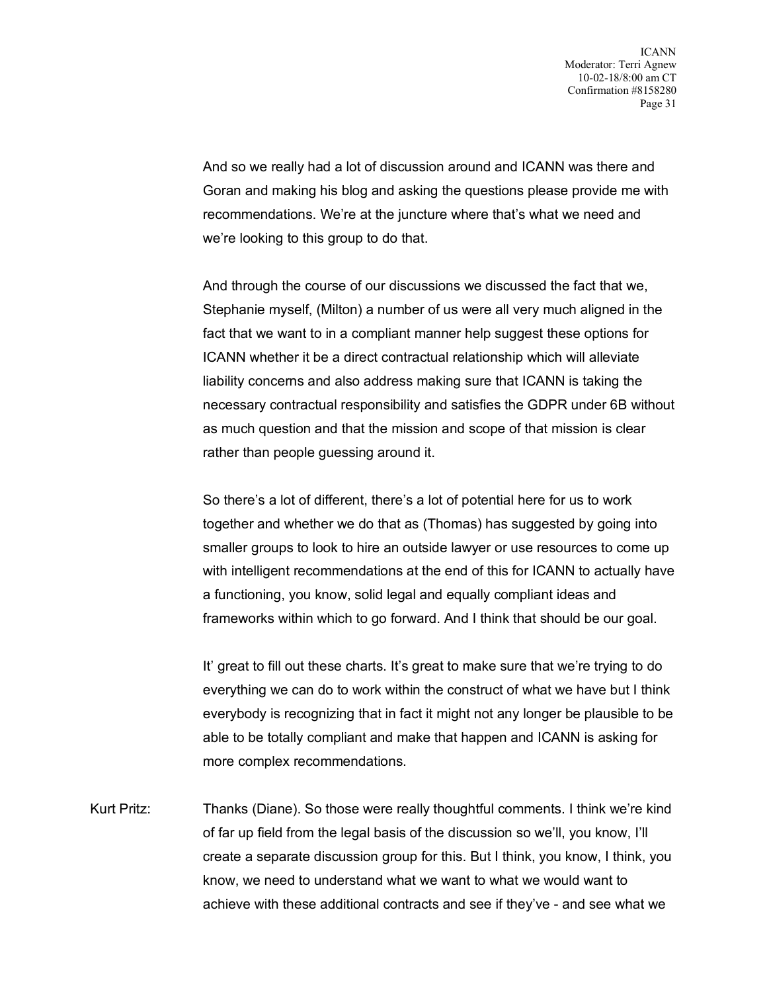And so we really had a lot of discussion around and ICANN was there and Goran and making his blog and asking the questions please provide me with recommendations. We're at the juncture where that's what we need and we're looking to this group to do that.

And through the course of our discussions we discussed the fact that we, Stephanie myself, (Milton) a number of us were all very much aligned in the fact that we want to in a compliant manner help suggest these options for ICANN whether it be a direct contractual relationship which will alleviate liability concerns and also address making sure that ICANN is taking the necessary contractual responsibility and satisfies the GDPR under 6B without as much question and that the mission and scope of that mission is clear rather than people guessing around it.

So there's a lot of different, there's a lot of potential here for us to work together and whether we do that as (Thomas) has suggested by going into smaller groups to look to hire an outside lawyer or use resources to come up with intelligent recommendations at the end of this for ICANN to actually have a functioning, you know, solid legal and equally compliant ideas and frameworks within which to go forward. And I think that should be our goal.

It' great to fill out these charts. It's great to make sure that we're trying to do everything we can do to work within the construct of what we have but I think everybody is recognizing that in fact it might not any longer be plausible to be able to be totally compliant and make that happen and ICANN is asking for more complex recommendations.

Kurt Pritz: Thanks (Diane). So those were really thoughtful comments. I think we're kind of far up field from the legal basis of the discussion so we'll, you know, I'll create a separate discussion group for this. But I think, you know, I think, you know, we need to understand what we want to what we would want to achieve with these additional contracts and see if they've - and see what we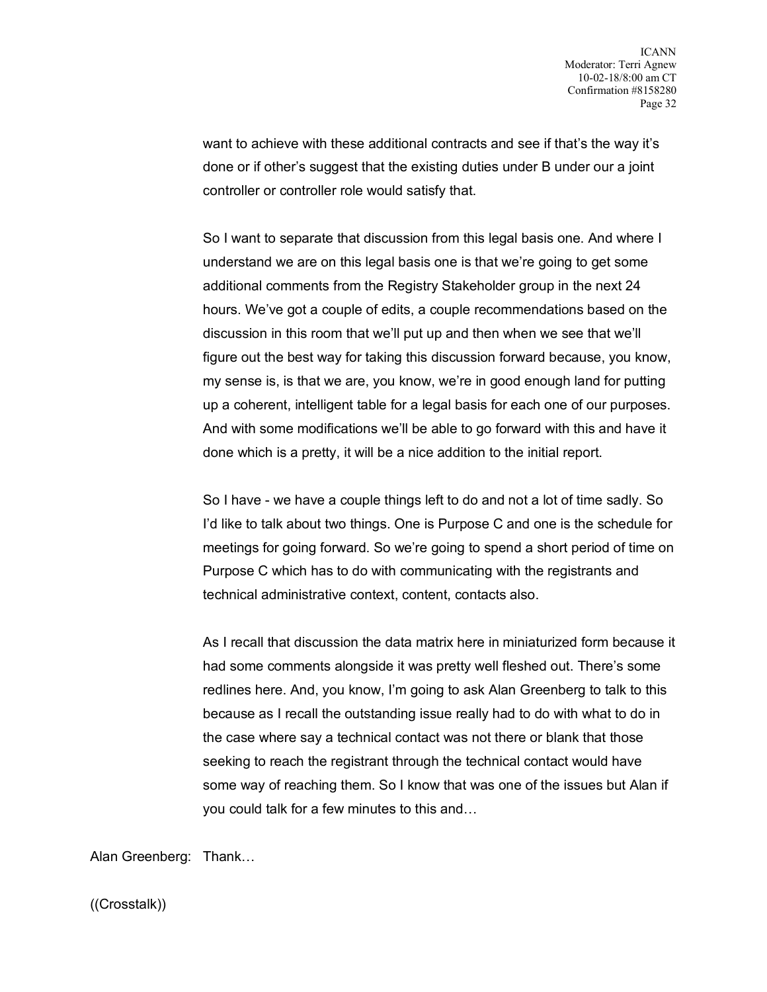want to achieve with these additional contracts and see if that's the way it's done or if other's suggest that the existing duties under B under our a joint controller or controller role would satisfy that.

So I want to separate that discussion from this legal basis one. And where I understand we are on this legal basis one is that we're going to get some additional comments from the Registry Stakeholder group in the next 24 hours. We've got a couple of edits, a couple recommendations based on the discussion in this room that we'll put up and then when we see that we'll figure out the best way for taking this discussion forward because, you know, my sense is, is that we are, you know, we're in good enough land for putting up a coherent, intelligent table for a legal basis for each one of our purposes. And with some modifications we'll be able to go forward with this and have it done which is a pretty, it will be a nice addition to the initial report.

So I have - we have a couple things left to do and not a lot of time sadly. So I'd like to talk about two things. One is Purpose C and one is the schedule for meetings for going forward. So we're going to spend a short period of time on Purpose C which has to do with communicating with the registrants and technical administrative context, content, contacts also.

As I recall that discussion the data matrix here in miniaturized form because it had some comments alongside it was pretty well fleshed out. There's some redlines here. And, you know, I'm going to ask Alan Greenberg to talk to this because as I recall the outstanding issue really had to do with what to do in the case where say a technical contact was not there or blank that those seeking to reach the registrant through the technical contact would have some way of reaching them. So I know that was one of the issues but Alan if you could talk for a few minutes to this and…

Alan Greenberg: Thank…

((Crosstalk))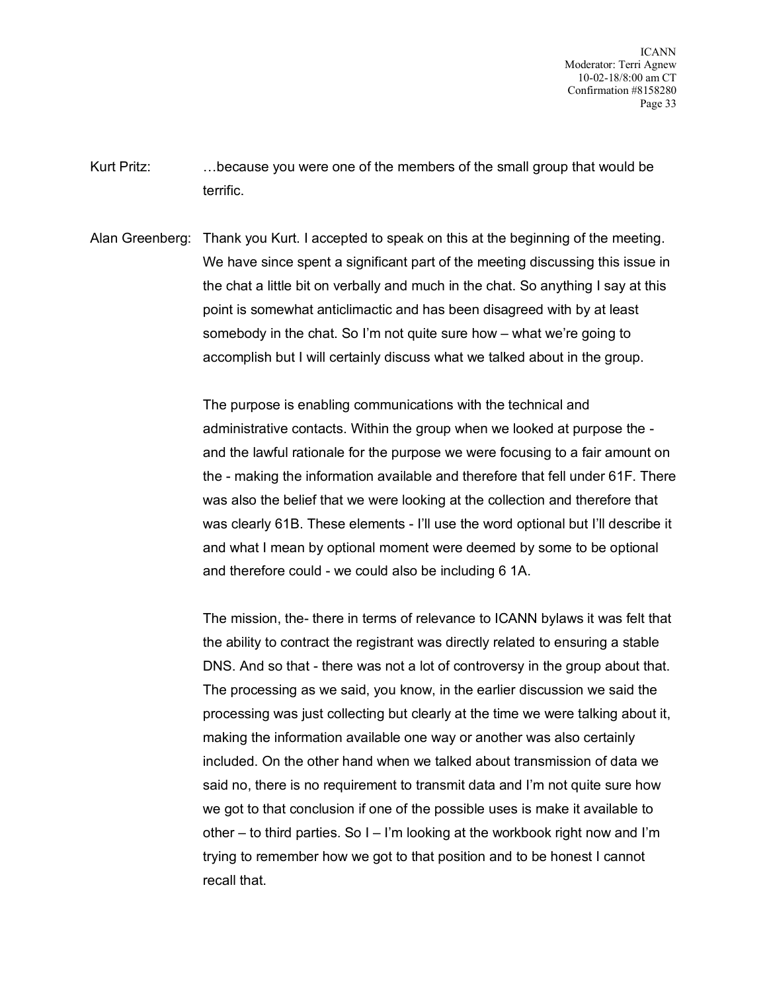- Kurt Pritz: …because you were one of the members of the small group that would be terrific.
- Alan Greenberg: Thank you Kurt. I accepted to speak on this at the beginning of the meeting. We have since spent a significant part of the meeting discussing this issue in the chat a little bit on verbally and much in the chat. So anything I say at this point is somewhat anticlimactic and has been disagreed with by at least somebody in the chat. So I'm not quite sure how – what we're going to accomplish but I will certainly discuss what we talked about in the group.

The purpose is enabling communications with the technical and administrative contacts. Within the group when we looked at purpose the and the lawful rationale for the purpose we were focusing to a fair amount on the - making the information available and therefore that fell under 61F. There was also the belief that we were looking at the collection and therefore that was clearly 61B. These elements - I'll use the word optional but I'll describe it and what I mean by optional moment were deemed by some to be optional and therefore could - we could also be including 6 1A.

The mission, the- there in terms of relevance to ICANN bylaws it was felt that the ability to contract the registrant was directly related to ensuring a stable DNS. And so that - there was not a lot of controversy in the group about that. The processing as we said, you know, in the earlier discussion we said the processing was just collecting but clearly at the time we were talking about it, making the information available one way or another was also certainly included. On the other hand when we talked about transmission of data we said no, there is no requirement to transmit data and I'm not quite sure how we got to that conclusion if one of the possible uses is make it available to other – to third parties. So I – I'm looking at the workbook right now and I'm trying to remember how we got to that position and to be honest I cannot recall that.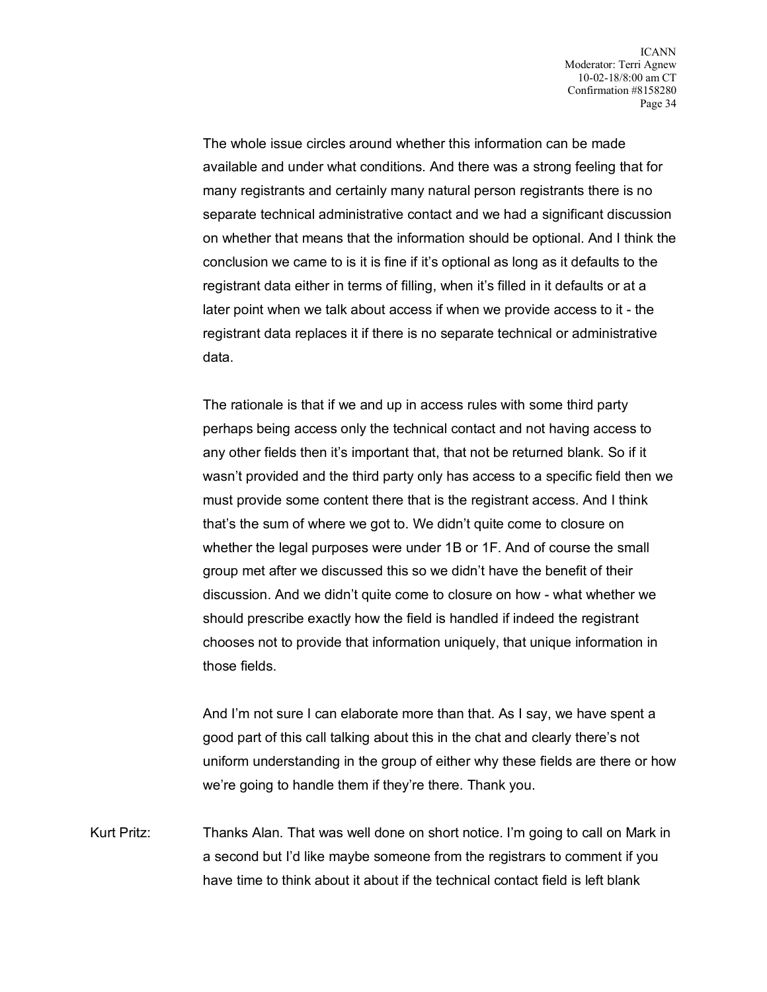The whole issue circles around whether this information can be made available and under what conditions. And there was a strong feeling that for many registrants and certainly many natural person registrants there is no separate technical administrative contact and we had a significant discussion on whether that means that the information should be optional. And I think the conclusion we came to is it is fine if it's optional as long as it defaults to the registrant data either in terms of filling, when it's filled in it defaults or at a later point when we talk about access if when we provide access to it - the registrant data replaces it if there is no separate technical or administrative data.

The rationale is that if we and up in access rules with some third party perhaps being access only the technical contact and not having access to any other fields then it's important that, that not be returned blank. So if it wasn't provided and the third party only has access to a specific field then we must provide some content there that is the registrant access. And I think that's the sum of where we got to. We didn't quite come to closure on whether the legal purposes were under 1B or 1F. And of course the small group met after we discussed this so we didn't have the benefit of their discussion. And we didn't quite come to closure on how - what whether we should prescribe exactly how the field is handled if indeed the registrant chooses not to provide that information uniquely, that unique information in those fields.

And I'm not sure I can elaborate more than that. As I say, we have spent a good part of this call talking about this in the chat and clearly there's not uniform understanding in the group of either why these fields are there or how we're going to handle them if they're there. Thank you.

Kurt Pritz: Thanks Alan. That was well done on short notice. I'm going to call on Mark in a second but I'd like maybe someone from the registrars to comment if you have time to think about it about if the technical contact field is left blank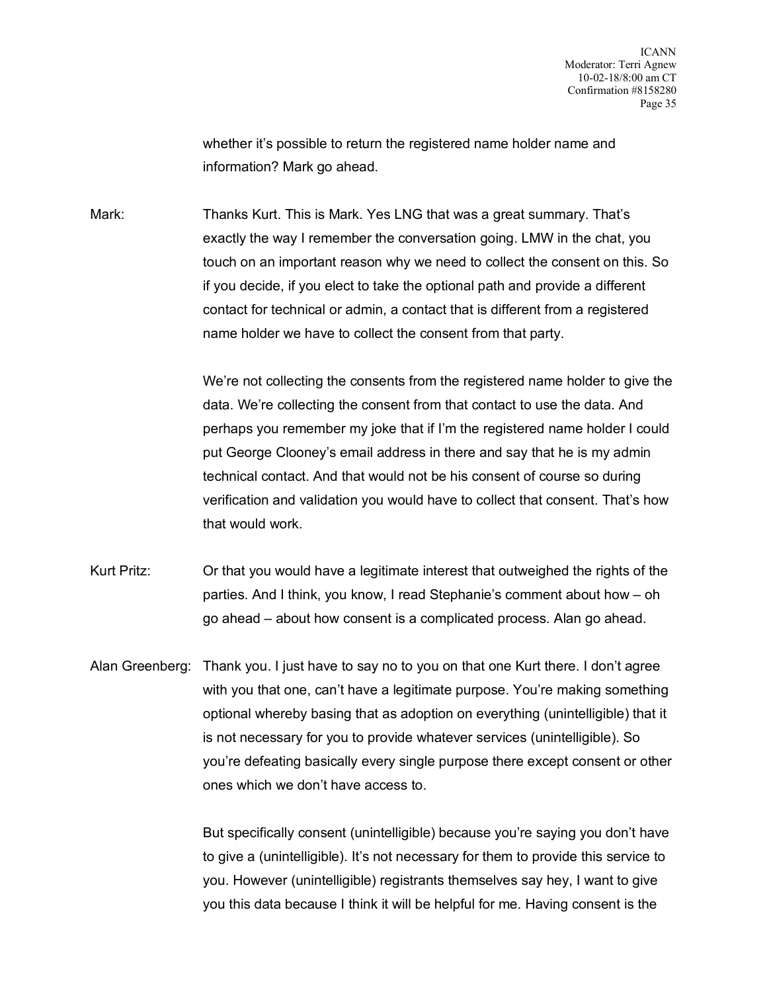whether it's possible to return the registered name holder name and information? Mark go ahead.

Mark: Thanks Kurt. This is Mark. Yes LNG that was a great summary. That's exactly the way I remember the conversation going. LMW in the chat, you touch on an important reason why we need to collect the consent on this. So if you decide, if you elect to take the optional path and provide a different contact for technical or admin, a contact that is different from a registered name holder we have to collect the consent from that party.

> We're not collecting the consents from the registered name holder to give the data. We're collecting the consent from that contact to use the data. And perhaps you remember my joke that if I'm the registered name holder I could put George Clooney's email address in there and say that he is my admin technical contact. And that would not be his consent of course so during verification and validation you would have to collect that consent. That's how that would work.

Kurt Pritz: Or that you would have a legitimate interest that outweighed the rights of the parties. And I think, you know, I read Stephanie's comment about how – oh go ahead – about how consent is a complicated process. Alan go ahead.

Alan Greenberg: Thank you. I just have to say no to you on that one Kurt there. I don't agree with you that one, can't have a legitimate purpose. You're making something optional whereby basing that as adoption on everything (unintelligible) that it is not necessary for you to provide whatever services (unintelligible). So you're defeating basically every single purpose there except consent or other ones which we don't have access to.

> But specifically consent (unintelligible) because you're saying you don't have to give a (unintelligible). It's not necessary for them to provide this service to you. However (unintelligible) registrants themselves say hey, I want to give you this data because I think it will be helpful for me. Having consent is the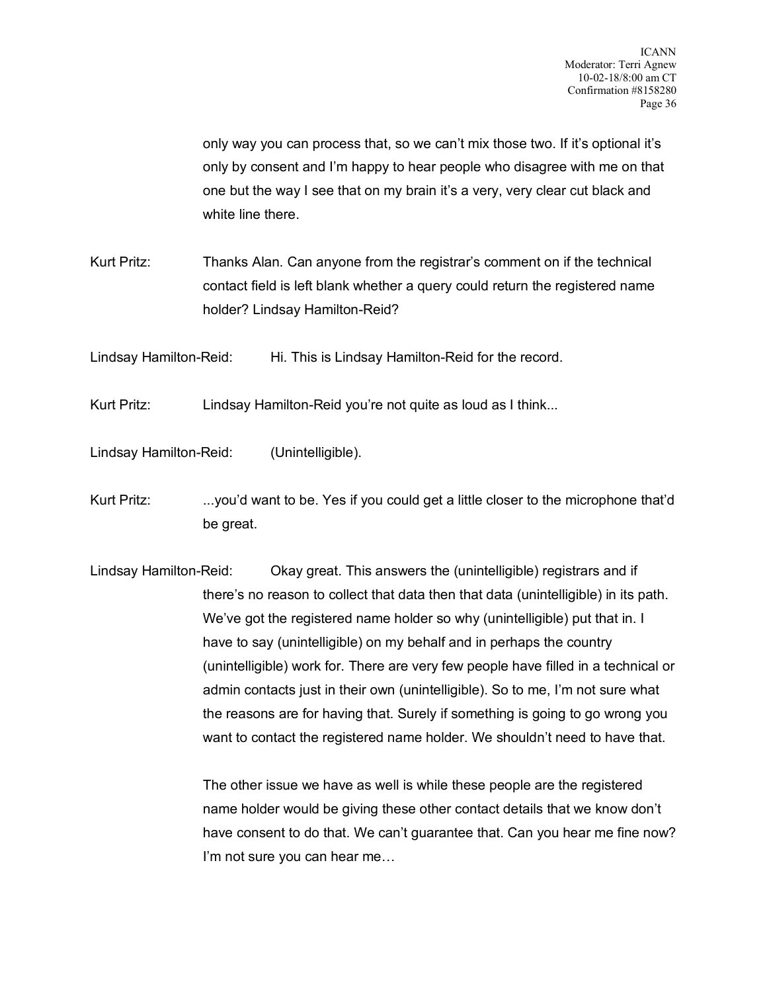only way you can process that, so we can't mix those two. If it's optional it's only by consent and I'm happy to hear people who disagree with me on that one but the way I see that on my brain it's a very, very clear cut black and white line there.

Kurt Pritz: Thanks Alan. Can anyone from the registrar's comment on if the technical contact field is left blank whether a query could return the registered name holder? Lindsay Hamilton-Reid?

Lindsay Hamilton-Reid: Hi. This is Lindsay Hamilton-Reid for the record.

Kurt Pritz: Lindsay Hamilton-Reid you're not quite as loud as I think...

Lindsay Hamilton-Reid: (Unintelligible).

Kurt Pritz: ...you'd want to be. Yes if you could get a little closer to the microphone that'd be great.

Lindsay Hamilton-Reid: Okay great. This answers the (unintelligible) registrars and if there's no reason to collect that data then that data (unintelligible) in its path. We've got the registered name holder so why (unintelligible) put that in. I have to say (unintelligible) on my behalf and in perhaps the country (unintelligible) work for. There are very few people have filled in a technical or admin contacts just in their own (unintelligible). So to me, I'm not sure what the reasons are for having that. Surely if something is going to go wrong you want to contact the registered name holder. We shouldn't need to have that.

> The other issue we have as well is while these people are the registered name holder would be giving these other contact details that we know don't have consent to do that. We can't guarantee that. Can you hear me fine now? I'm not sure you can hear me…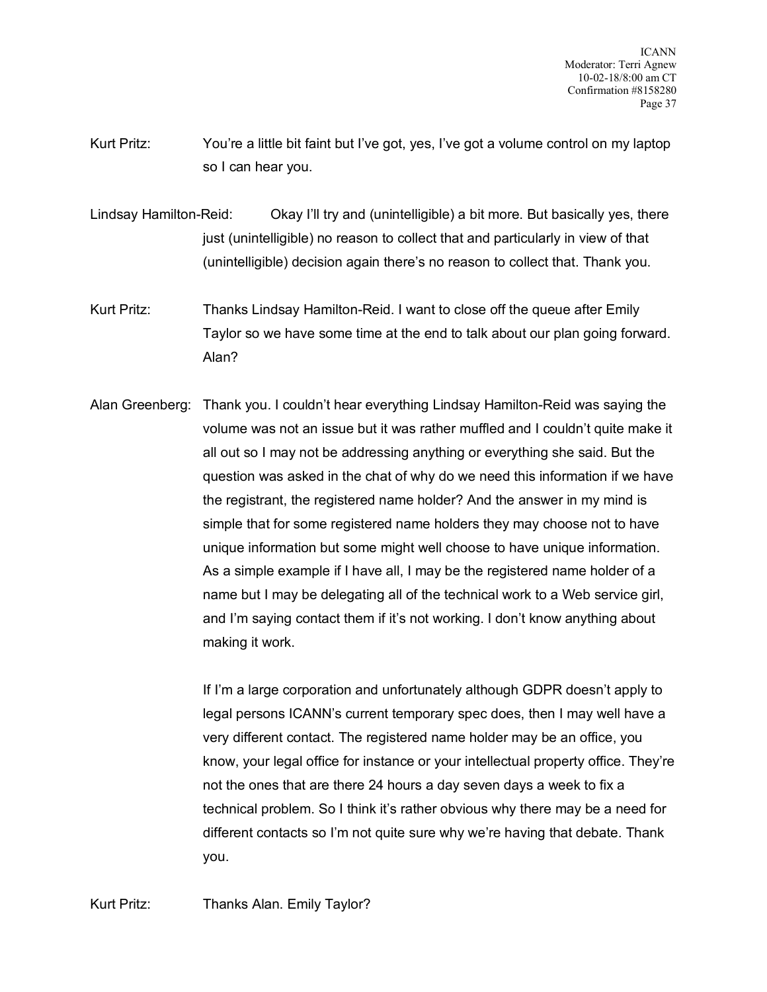- Kurt Pritz: You're a little bit faint but I've got, yes, I've got a volume control on my laptop so I can hear you.
- Lindsay Hamilton-Reid: Okay I'll try and (unintelligible) a bit more. But basically yes, there just (unintelligible) no reason to collect that and particularly in view of that (unintelligible) decision again there's no reason to collect that. Thank you.
- Kurt Pritz: Thanks Lindsay Hamilton-Reid. I want to close off the queue after Emily Taylor so we have some time at the end to talk about our plan going forward. Alan?
- Alan Greenberg: Thank you. I couldn't hear everything Lindsay Hamilton-Reid was saying the volume was not an issue but it was rather muffled and I couldn't quite make it all out so I may not be addressing anything or everything she said. But the question was asked in the chat of why do we need this information if we have the registrant, the registered name holder? And the answer in my mind is simple that for some registered name holders they may choose not to have unique information but some might well choose to have unique information. As a simple example if I have all, I may be the registered name holder of a name but I may be delegating all of the technical work to a Web service girl, and I'm saying contact them if it's not working. I don't know anything about making it work.

If I'm a large corporation and unfortunately although GDPR doesn't apply to legal persons ICANN's current temporary spec does, then I may well have a very different contact. The registered name holder may be an office, you know, your legal office for instance or your intellectual property office. They're not the ones that are there 24 hours a day seven days a week to fix a technical problem. So I think it's rather obvious why there may be a need for different contacts so I'm not quite sure why we're having that debate. Thank you.

Kurt Pritz: Thanks Alan. Emily Taylor?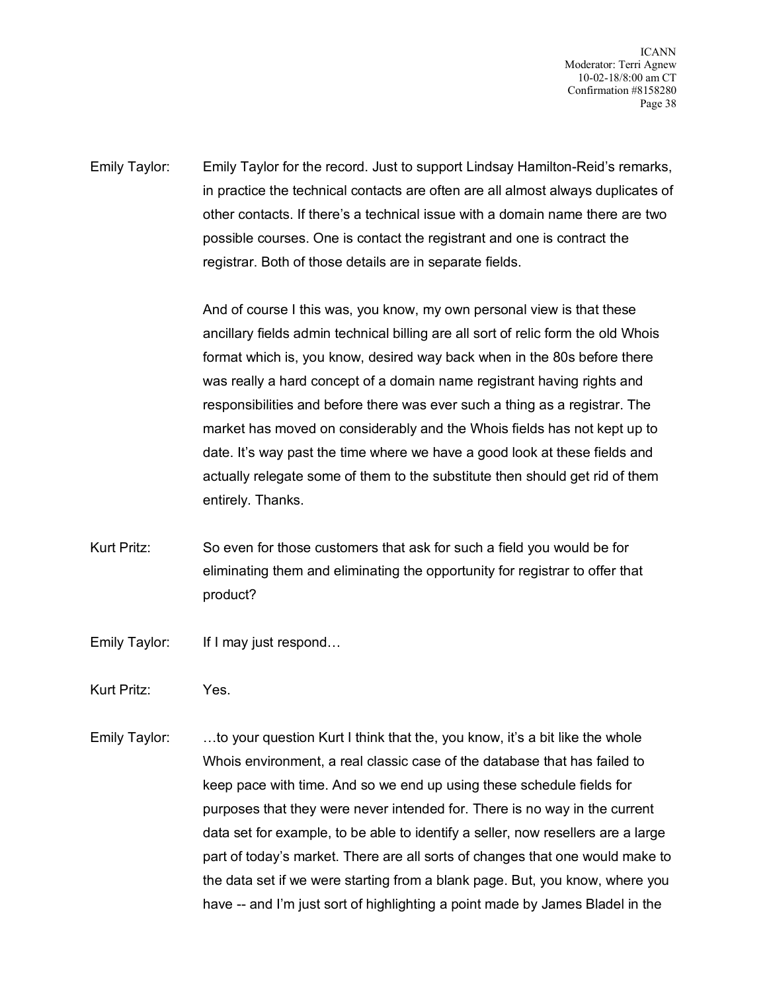ICANN Moderator: Terri Agnew 10-02-18/8:00 am CT Confirmation #8158280 Page 38

Emily Taylor: Emily Taylor for the record. Just to support Lindsay Hamilton-Reid's remarks, in practice the technical contacts are often are all almost always duplicates of other contacts. If there's a technical issue with a domain name there are two possible courses. One is contact the registrant and one is contract the registrar. Both of those details are in separate fields.

> And of course I this was, you know, my own personal view is that these ancillary fields admin technical billing are all sort of relic form the old Whois format which is, you know, desired way back when in the 80s before there was really a hard concept of a domain name registrant having rights and responsibilities and before there was ever such a thing as a registrar. The market has moved on considerably and the Whois fields has not kept up to date. It's way past the time where we have a good look at these fields and actually relegate some of them to the substitute then should get rid of them entirely. Thanks.

- Kurt Pritz: So even for those customers that ask for such a field you would be for eliminating them and eliminating the opportunity for registrar to offer that product?
- Emily Taylor: If I may just respond…
- Kurt Pritz: Yes.
- Emily Taylor: …to your question Kurt I think that the, you know, it's a bit like the whole Whois environment, a real classic case of the database that has failed to keep pace with time. And so we end up using these schedule fields for purposes that they were never intended for. There is no way in the current data set for example, to be able to identify a seller, now resellers are a large part of today's market. There are all sorts of changes that one would make to the data set if we were starting from a blank page. But, you know, where you have -- and I'm just sort of highlighting a point made by James Bladel in the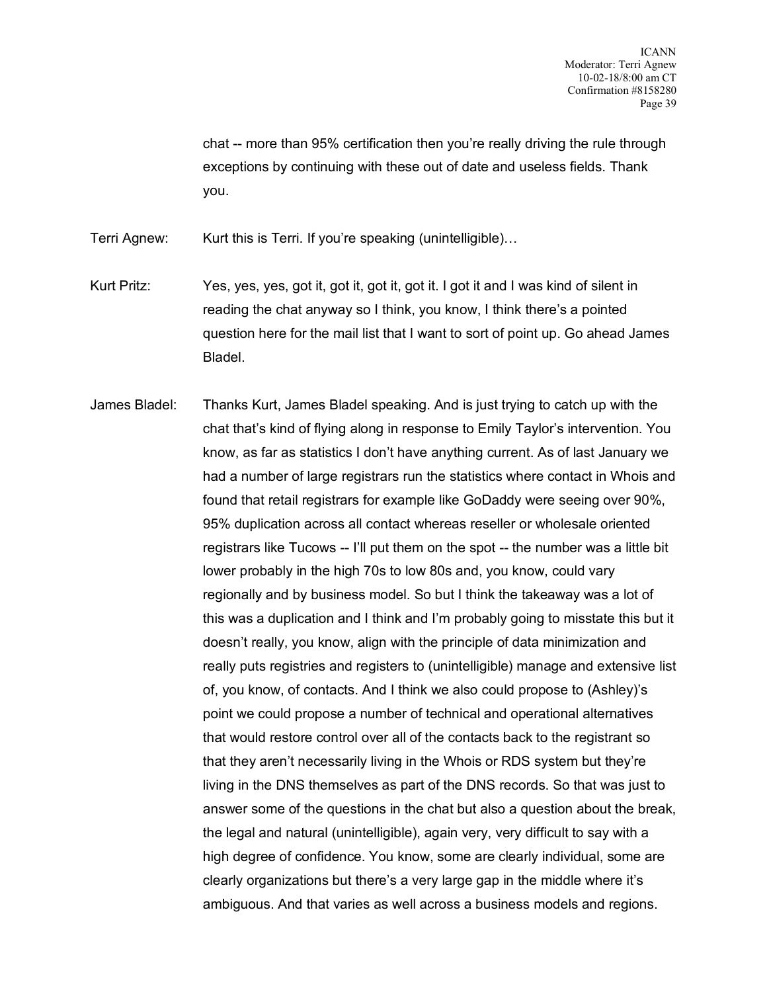chat -- more than 95% certification then you're really driving the rule through exceptions by continuing with these out of date and useless fields. Thank you.

Terri Agnew: Kurt this is Terri. If you're speaking (unintelligible)...

- Kurt Pritz: Yes, yes, yes, got it, got it, got it, got it. I got it and I was kind of silent in reading the chat anyway so I think, you know, I think there's a pointed question here for the mail list that I want to sort of point up. Go ahead James Bladel.
- James Bladel: Thanks Kurt, James Bladel speaking. And is just trying to catch up with the chat that's kind of flying along in response to Emily Taylor's intervention. You know, as far as statistics I don't have anything current. As of last January we had a number of large registrars run the statistics where contact in Whois and found that retail registrars for example like GoDaddy were seeing over 90%, 95% duplication across all contact whereas reseller or wholesale oriented registrars like Tucows -- I'll put them on the spot -- the number was a little bit lower probably in the high 70s to low 80s and, you know, could vary regionally and by business model. So but I think the takeaway was a lot of this was a duplication and I think and I'm probably going to misstate this but it doesn't really, you know, align with the principle of data minimization and really puts registries and registers to (unintelligible) manage and extensive list of, you know, of contacts. And I think we also could propose to (Ashley)'s point we could propose a number of technical and operational alternatives that would restore control over all of the contacts back to the registrant so that they aren't necessarily living in the Whois or RDS system but they're living in the DNS themselves as part of the DNS records. So that was just to answer some of the questions in the chat but also a question about the break, the legal and natural (unintelligible), again very, very difficult to say with a high degree of confidence. You know, some are clearly individual, some are clearly organizations but there's a very large gap in the middle where it's ambiguous. And that varies as well across a business models and regions.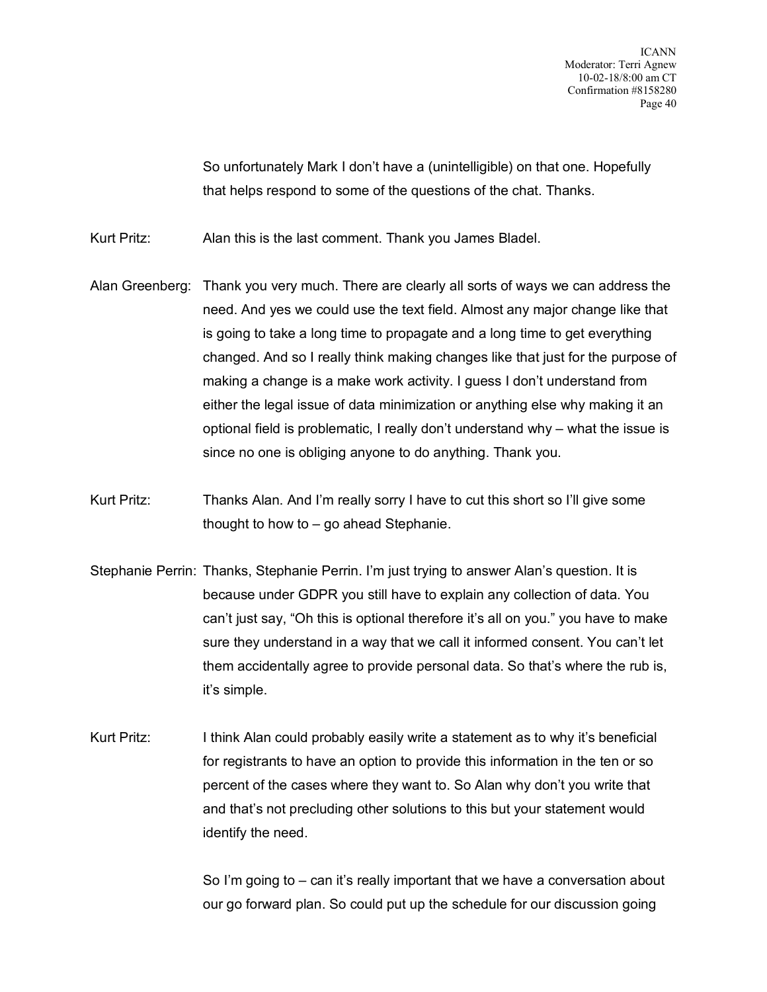ICANN Moderator: Terri Agnew 10-02-18/8:00 am CT Confirmation #8158280 Page 40

So unfortunately Mark I don't have a (unintelligible) on that one. Hopefully that helps respond to some of the questions of the chat. Thanks.

Kurt Pritz: Alan this is the last comment. Thank you James Bladel.

- Alan Greenberg: Thank you very much. There are clearly all sorts of ways we can address the need. And yes we could use the text field. Almost any major change like that is going to take a long time to propagate and a long time to get everything changed. And so I really think making changes like that just for the purpose of making a change is a make work activity. I guess I don't understand from either the legal issue of data minimization or anything else why making it an optional field is problematic, I really don't understand why – what the issue is since no one is obliging anyone to do anything. Thank you.
- Kurt Pritz: Thanks Alan. And I'm really sorry I have to cut this short so I'll give some thought to how to – go ahead Stephanie.
- Stephanie Perrin: Thanks, Stephanie Perrin. I'm just trying to answer Alan's question. It is because under GDPR you still have to explain any collection of data. You can't just say, "Oh this is optional therefore it's all on you." you have to make sure they understand in a way that we call it informed consent. You can't let them accidentally agree to provide personal data. So that's where the rub is, it's simple.
- Kurt Pritz: I think Alan could probably easily write a statement as to why it's beneficial for registrants to have an option to provide this information in the ten or so percent of the cases where they want to. So Alan why don't you write that and that's not precluding other solutions to this but your statement would identify the need.

So I'm going to – can it's really important that we have a conversation about our go forward plan. So could put up the schedule for our discussion going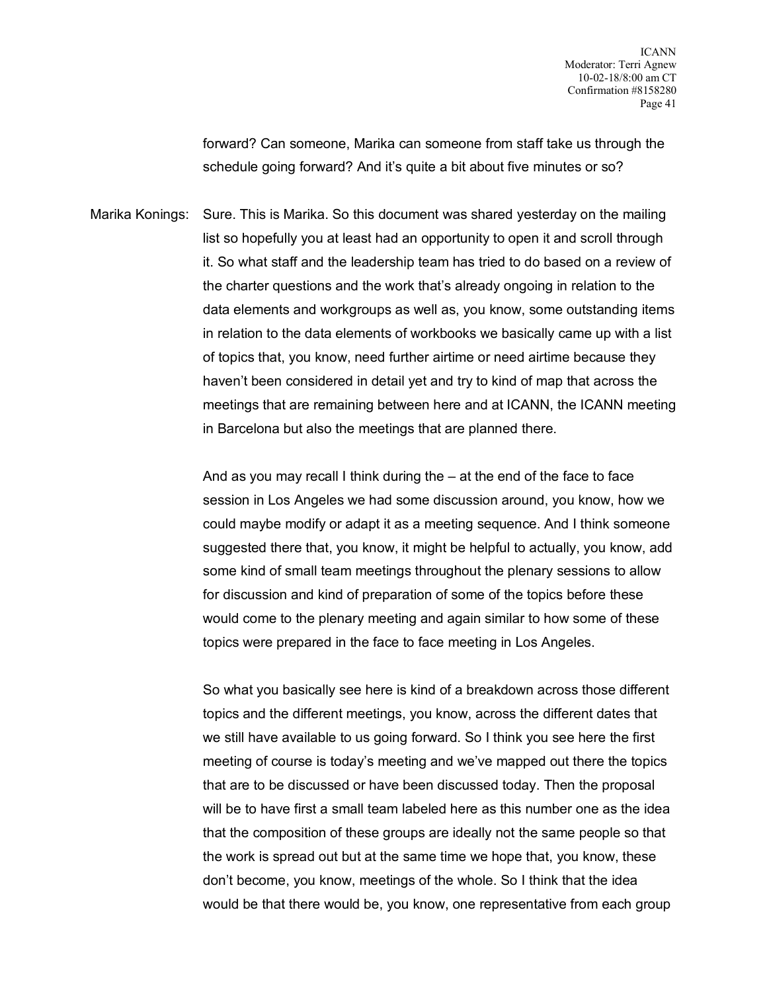forward? Can someone, Marika can someone from staff take us through the schedule going forward? And it's quite a bit about five minutes or so?

Marika Konings: Sure. This is Marika. So this document was shared yesterday on the mailing list so hopefully you at least had an opportunity to open it and scroll through it. So what staff and the leadership team has tried to do based on a review of the charter questions and the work that's already ongoing in relation to the data elements and workgroups as well as, you know, some outstanding items in relation to the data elements of workbooks we basically came up with a list of topics that, you know, need further airtime or need airtime because they haven't been considered in detail yet and try to kind of map that across the meetings that are remaining between here and at ICANN, the ICANN meeting in Barcelona but also the meetings that are planned there.

> And as you may recall I think during the – at the end of the face to face session in Los Angeles we had some discussion around, you know, how we could maybe modify or adapt it as a meeting sequence. And I think someone suggested there that, you know, it might be helpful to actually, you know, add some kind of small team meetings throughout the plenary sessions to allow for discussion and kind of preparation of some of the topics before these would come to the plenary meeting and again similar to how some of these topics were prepared in the face to face meeting in Los Angeles.

> So what you basically see here is kind of a breakdown across those different topics and the different meetings, you know, across the different dates that we still have available to us going forward. So I think you see here the first meeting of course is today's meeting and we've mapped out there the topics that are to be discussed or have been discussed today. Then the proposal will be to have first a small team labeled here as this number one as the idea that the composition of these groups are ideally not the same people so that the work is spread out but at the same time we hope that, you know, these don't become, you know, meetings of the whole. So I think that the idea would be that there would be, you know, one representative from each group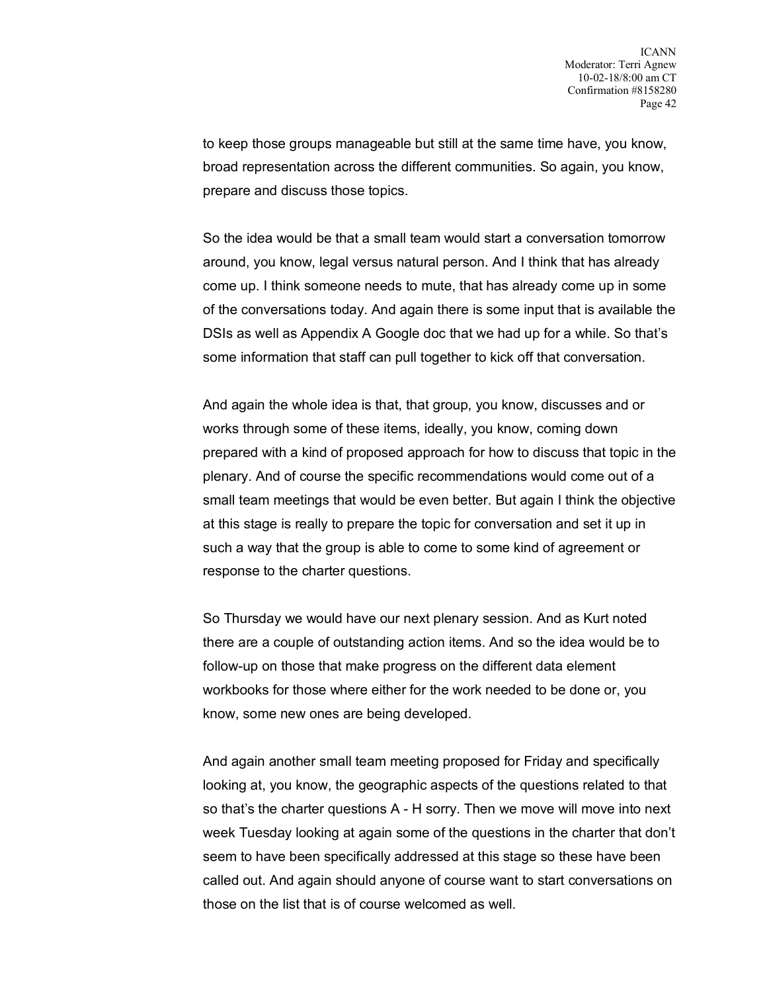to keep those groups manageable but still at the same time have, you know, broad representation across the different communities. So again, you know, prepare and discuss those topics.

So the idea would be that a small team would start a conversation tomorrow around, you know, legal versus natural person. And I think that has already come up. I think someone needs to mute, that has already come up in some of the conversations today. And again there is some input that is available the DSIs as well as Appendix A Google doc that we had up for a while. So that's some information that staff can pull together to kick off that conversation.

And again the whole idea is that, that group, you know, discusses and or works through some of these items, ideally, you know, coming down prepared with a kind of proposed approach for how to discuss that topic in the plenary. And of course the specific recommendations would come out of a small team meetings that would be even better. But again I think the objective at this stage is really to prepare the topic for conversation and set it up in such a way that the group is able to come to some kind of agreement or response to the charter questions.

So Thursday we would have our next plenary session. And as Kurt noted there are a couple of outstanding action items. And so the idea would be to follow-up on those that make progress on the different data element workbooks for those where either for the work needed to be done or, you know, some new ones are being developed.

And again another small team meeting proposed for Friday and specifically looking at, you know, the geographic aspects of the questions related to that so that's the charter questions A - H sorry. Then we move will move into next week Tuesday looking at again some of the questions in the charter that don't seem to have been specifically addressed at this stage so these have been called out. And again should anyone of course want to start conversations on those on the list that is of course welcomed as well.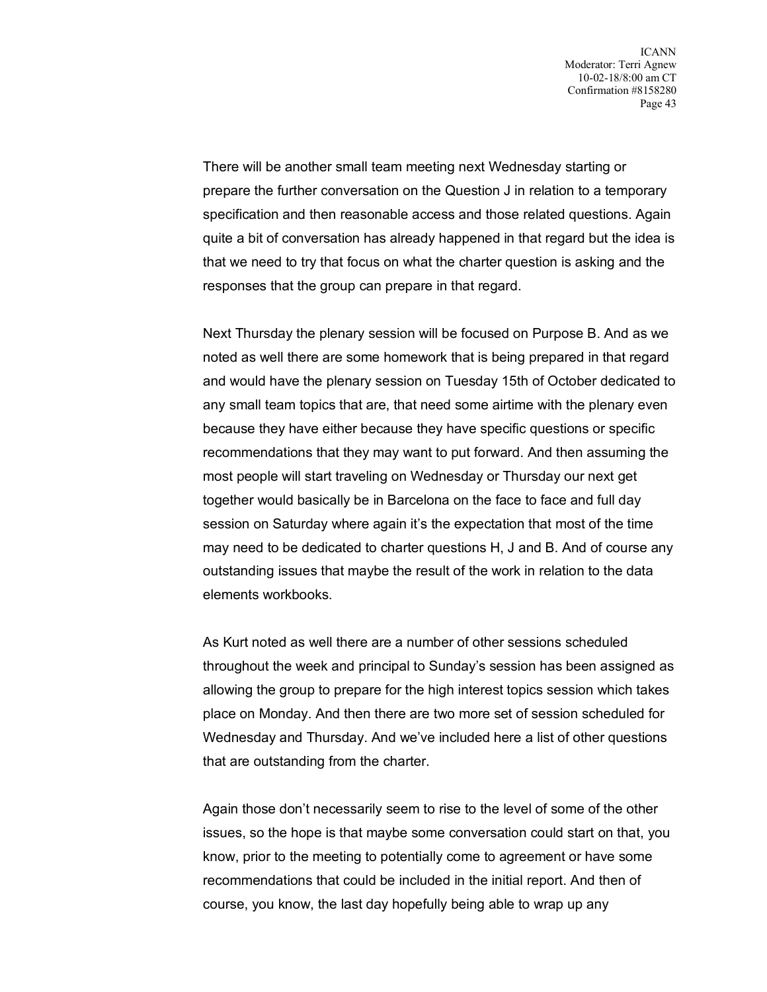There will be another small team meeting next Wednesday starting or prepare the further conversation on the Question J in relation to a temporary specification and then reasonable access and those related questions. Again quite a bit of conversation has already happened in that regard but the idea is that we need to try that focus on what the charter question is asking and the responses that the group can prepare in that regard.

Next Thursday the plenary session will be focused on Purpose B. And as we noted as well there are some homework that is being prepared in that regard and would have the plenary session on Tuesday 15th of October dedicated to any small team topics that are, that need some airtime with the plenary even because they have either because they have specific questions or specific recommendations that they may want to put forward. And then assuming the most people will start traveling on Wednesday or Thursday our next get together would basically be in Barcelona on the face to face and full day session on Saturday where again it's the expectation that most of the time may need to be dedicated to charter questions H, J and B. And of course any outstanding issues that maybe the result of the work in relation to the data elements workbooks.

As Kurt noted as well there are a number of other sessions scheduled throughout the week and principal to Sunday's session has been assigned as allowing the group to prepare for the high interest topics session which takes place on Monday. And then there are two more set of session scheduled for Wednesday and Thursday. And we've included here a list of other questions that are outstanding from the charter.

Again those don't necessarily seem to rise to the level of some of the other issues, so the hope is that maybe some conversation could start on that, you know, prior to the meeting to potentially come to agreement or have some recommendations that could be included in the initial report. And then of course, you know, the last day hopefully being able to wrap up any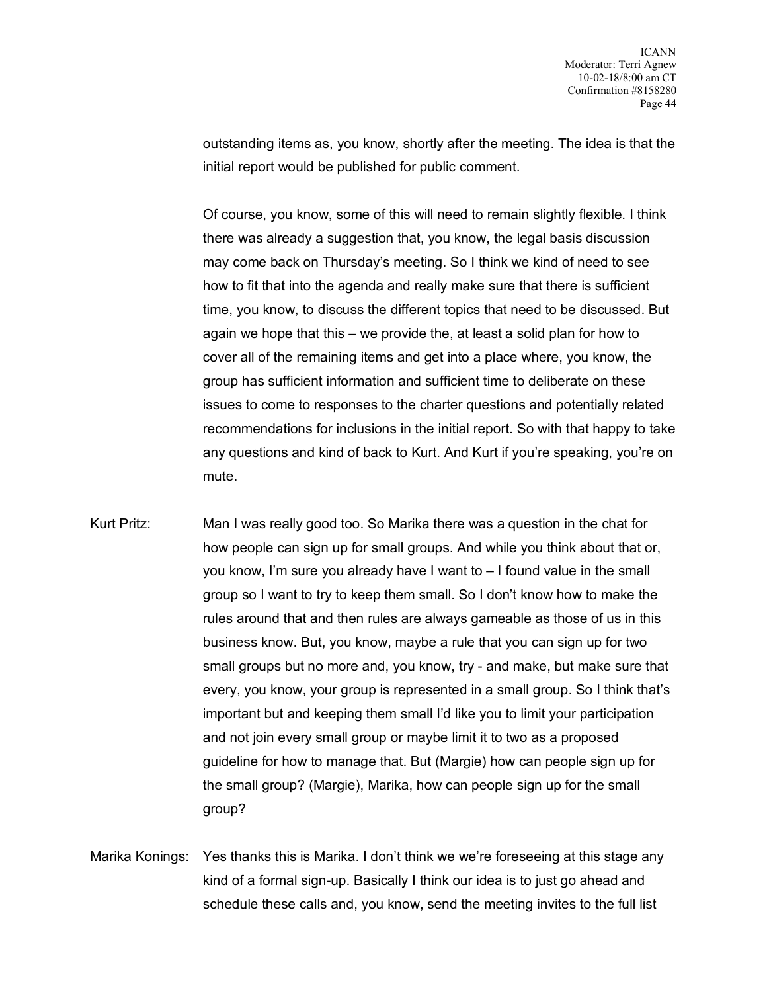outstanding items as, you know, shortly after the meeting. The idea is that the initial report would be published for public comment.

Of course, you know, some of this will need to remain slightly flexible. I think there was already a suggestion that, you know, the legal basis discussion may come back on Thursday's meeting. So I think we kind of need to see how to fit that into the agenda and really make sure that there is sufficient time, you know, to discuss the different topics that need to be discussed. But again we hope that this – we provide the, at least a solid plan for how to cover all of the remaining items and get into a place where, you know, the group has sufficient information and sufficient time to deliberate on these issues to come to responses to the charter questions and potentially related recommendations for inclusions in the initial report. So with that happy to take any questions and kind of back to Kurt. And Kurt if you're speaking, you're on mute.

- Kurt Pritz: Man I was really good too. So Marika there was a question in the chat for how people can sign up for small groups. And while you think about that or, you know, I'm sure you already have I want to – I found value in the small group so I want to try to keep them small. So I don't know how to make the rules around that and then rules are always gameable as those of us in this business know. But, you know, maybe a rule that you can sign up for two small groups but no more and, you know, try - and make, but make sure that every, you know, your group is represented in a small group. So I think that's important but and keeping them small I'd like you to limit your participation and not join every small group or maybe limit it to two as a proposed guideline for how to manage that. But (Margie) how can people sign up for the small group? (Margie), Marika, how can people sign up for the small group?
- Marika Konings: Yes thanks this is Marika. I don't think we we're foreseeing at this stage any kind of a formal sign-up. Basically I think our idea is to just go ahead and schedule these calls and, you know, send the meeting invites to the full list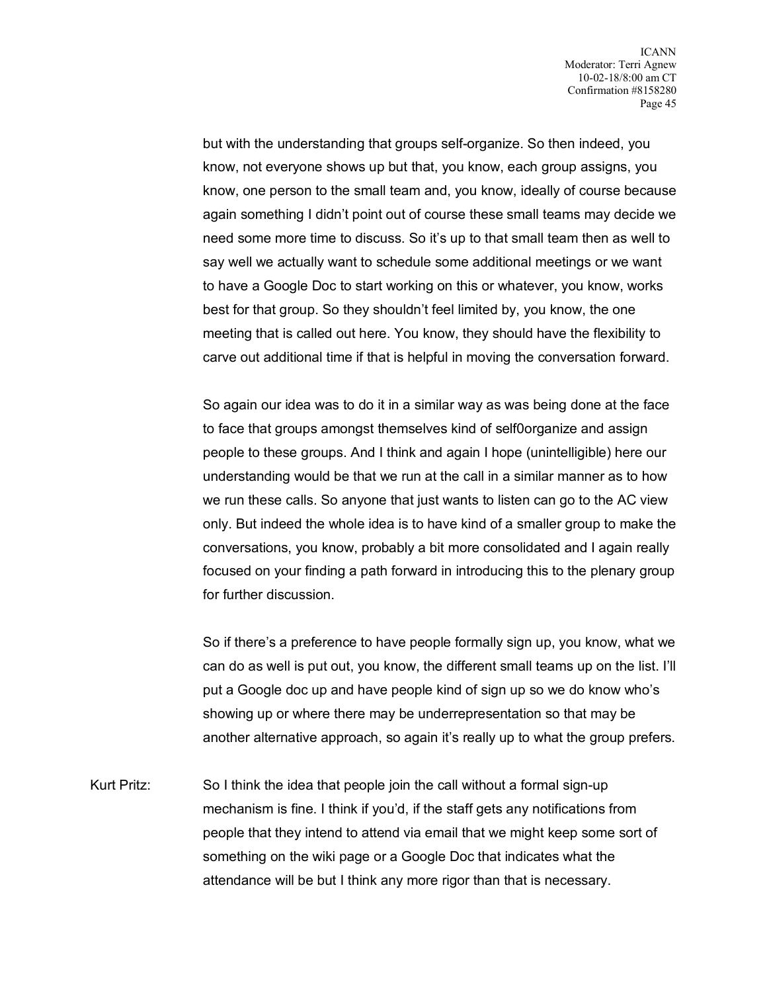but with the understanding that groups self-organize. So then indeed, you know, not everyone shows up but that, you know, each group assigns, you know, one person to the small team and, you know, ideally of course because again something I didn't point out of course these small teams may decide we need some more time to discuss. So it's up to that small team then as well to say well we actually want to schedule some additional meetings or we want to have a Google Doc to start working on this or whatever, you know, works best for that group. So they shouldn't feel limited by, you know, the one meeting that is called out here. You know, they should have the flexibility to carve out additional time if that is helpful in moving the conversation forward.

So again our idea was to do it in a similar way as was being done at the face to face that groups amongst themselves kind of self0organize and assign people to these groups. And I think and again I hope (unintelligible) here our understanding would be that we run at the call in a similar manner as to how we run these calls. So anyone that just wants to listen can go to the AC view only. But indeed the whole idea is to have kind of a smaller group to make the conversations, you know, probably a bit more consolidated and I again really focused on your finding a path forward in introducing this to the plenary group for further discussion.

So if there's a preference to have people formally sign up, you know, what we can do as well is put out, you know, the different small teams up on the list. I'll put a Google doc up and have people kind of sign up so we do know who's showing up or where there may be underrepresentation so that may be another alternative approach, so again it's really up to what the group prefers.

Kurt Pritz: So I think the idea that people join the call without a formal sign-up mechanism is fine. I think if you'd, if the staff gets any notifications from people that they intend to attend via email that we might keep some sort of something on the wiki page or a Google Doc that indicates what the attendance will be but I think any more rigor than that is necessary.